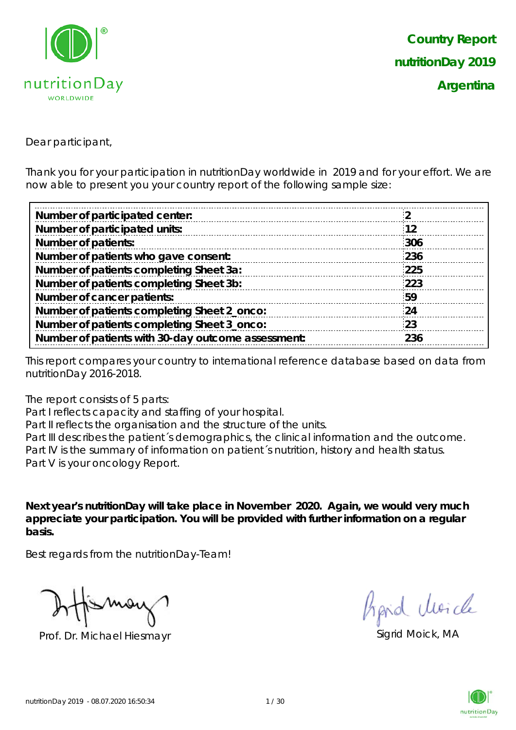

Dear participant,

Thank you for your participation in nutritionDay worldwide in 2019 and for your effort. We are now able to present you your country report of the following sample size:

| 12  |
|-----|
| 306 |
| 236 |
| 225 |
| 223 |
| 59  |
| -24 |
| 23  |
| 236 |
|     |

This report compares your country to international reference database based on data from nutritionDay 2016-2018.

The report consists of 5 parts:

Part I reflects capacity and staffing of your hospital.

Part II reflects the organisation and the structure of the units.

Part III describes the patient's demographics, the clinical information and the outcome. Part IV is the summary of information on patient´s nutrition, history and health status. Part V is your oncology Report.

**Next year's nutritionDay will take place in November 2020. Again, we would very much appreciate your participation. You will be provided with further information on a regular basis.**

Best regards from the nutritionDay-Team!

Prof. Dr. Michael Hiesmayr Sigrid Moick, MA

hard Moich

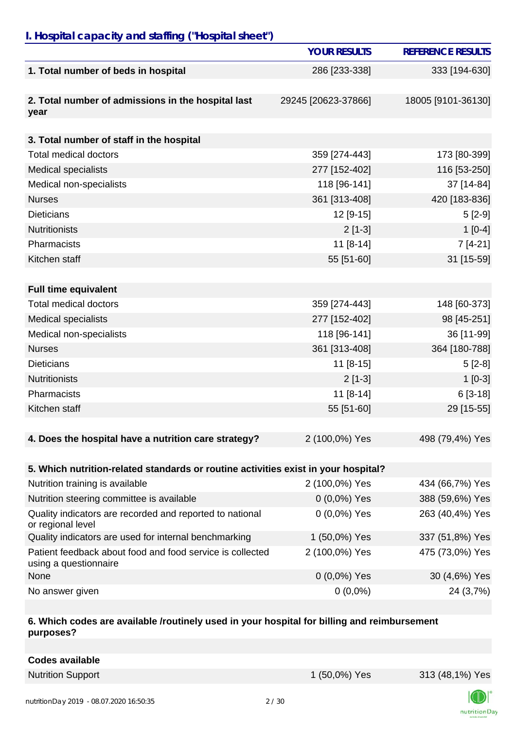## *I. Hospital capacity and staffing ("Hospital sheet")*

|                                                                                    | <b>YOUR RESULTS</b> | <b>REFERENCE RESULTS</b> |
|------------------------------------------------------------------------------------|---------------------|--------------------------|
| 1. Total number of beds in hospital                                                | 286 [233-338]       | 333 [194-630]            |
| 2. Total number of admissions in the hospital last<br>year                         | 29245 [20623-37866] | 18005 [9101-36130]       |
|                                                                                    |                     |                          |
| 3. Total number of staff in the hospital                                           |                     |                          |
| <b>Total medical doctors</b>                                                       | 359 [274-443]       | 173 [80-399]             |
| <b>Medical specialists</b>                                                         | 277 [152-402]       | 116 [53-250]             |
| Medical non-specialists                                                            | 118 [96-141]        | 37 [14-84]               |
| <b>Nurses</b>                                                                      | 361 [313-408]       | 420 [183-836]            |
| <b>Dieticians</b>                                                                  | 12 [9-15]           | $5[2-9]$                 |
| <b>Nutritionists</b>                                                               | $2$ [1-3]           | $1[0-4]$                 |
| Pharmacists                                                                        | $11 [8-14]$         | $7[4-21]$                |
| Kitchen staff                                                                      | 55 [51-60]          | 31 [15-59]               |
|                                                                                    |                     |                          |
| <b>Full time equivalent</b>                                                        |                     |                          |
| <b>Total medical doctors</b>                                                       | 359 [274-443]       | 148 [60-373]             |
| <b>Medical specialists</b>                                                         | 277 [152-402]       | 98 [45-251]              |
| Medical non-specialists                                                            | 118 [96-141]        | 36 [11-99]               |
| <b>Nurses</b>                                                                      | 361 [313-408]       | 364 [180-788]            |
| <b>Dieticians</b>                                                                  | $11 [8-15]$         | $5[2-8]$                 |
| <b>Nutritionists</b>                                                               | $2[1-3]$            | $1[0-3]$                 |
| Pharmacists                                                                        | $11 [8-14]$         | $6[3-18]$                |
| Kitchen staff                                                                      | 55 [51-60]          | 29 [15-55]               |
|                                                                                    |                     |                          |
| 4. Does the hospital have a nutrition care strategy?                               | 2 (100,0%) Yes      | 498 (79,4%) Yes          |
|                                                                                    |                     |                          |
| 5. Which nutrition-related standards or routine activities exist in your hospital? |                     |                          |
| Nutrition training is available                                                    | 2 (100,0%) Yes      | 434 (66,7%) Yes          |
| Nutrition steering committee is available                                          | $0(0,0\%)$ Yes      | 388 (59,6%) Yes          |
| Quality indicators are recorded and reported to national<br>or regional level      | 0 (0,0%) Yes        | 263 (40,4%) Yes          |
| Quality indicators are used for internal benchmarking                              | 1 (50,0%) Yes       | 337 (51,8%) Yes          |
| Patient feedback about food and food service is collected<br>using a questionnaire | 2 (100,0%) Yes      | 475 (73,0%) Yes          |
| None                                                                               | $0(0,0\%)$ Yes      | 30 (4,6%) Yes            |
| No answer given                                                                    | $0(0,0\%)$          | 24 (3,7%)                |

#### **6. Which codes are available /routinely used in your hospital for billing and reimbursement purposes?**

|  |  | <b>Codes available</b> |
|--|--|------------------------|
|--|--|------------------------|

Nutrition Support 1 (50,0%) Yes 313 (48,1%) Yes

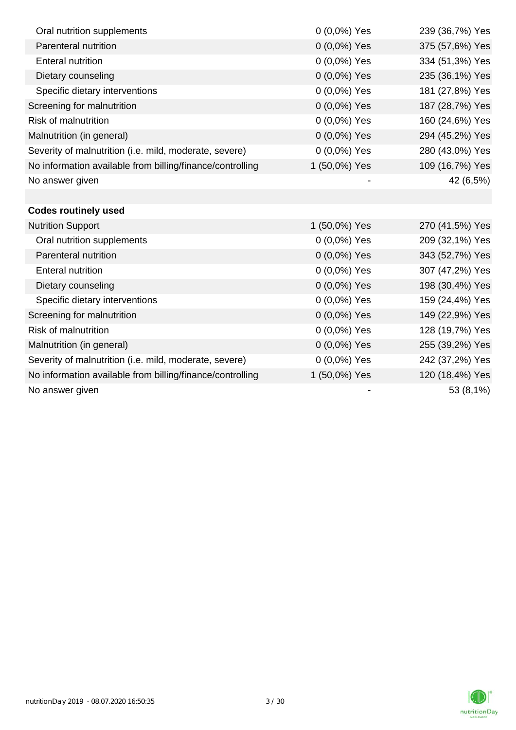| Oral nutrition supplements                                | $0(0,0\%)$ Yes | 239 (36,7%) Yes |
|-----------------------------------------------------------|----------------|-----------------|
| Parenteral nutrition                                      | 0 (0,0%) Yes   | 375 (57,6%) Yes |
| <b>Enteral nutrition</b>                                  | 0 (0,0%) Yes   | 334 (51,3%) Yes |
| Dietary counseling                                        | 0 (0,0%) Yes   | 235 (36,1%) Yes |
| Specific dietary interventions                            | 0 (0,0%) Yes   | 181 (27,8%) Yes |
| Screening for malnutrition                                | 0 (0,0%) Yes   | 187 (28,7%) Yes |
| <b>Risk of malnutrition</b>                               | 0 (0,0%) Yes   | 160 (24,6%) Yes |
| Malnutrition (in general)                                 | 0 (0,0%) Yes   | 294 (45,2%) Yes |
| Severity of malnutrition (i.e. mild, moderate, severe)    | 0 (0,0%) Yes   | 280 (43,0%) Yes |
| No information available from billing/finance/controlling | 1 (50,0%) Yes  | 109 (16,7%) Yes |
| No answer given                                           |                | 42 (6,5%)       |
|                                                           |                |                 |
| <b>Codes routinely used</b>                               |                |                 |
| <b>Nutrition Support</b>                                  | 1 (50,0%) Yes  | 270 (41,5%) Yes |
| Oral nutrition supplements                                | 0 (0,0%) Yes   | 209 (32,1%) Yes |
| Parenteral nutrition                                      | 0 (0,0%) Yes   | 343 (52,7%) Yes |
| <b>Enteral nutrition</b>                                  | 0 (0,0%) Yes   | 307 (47,2%) Yes |
| Dietary counseling                                        | $0(0,0\%)$ Yes | 198 (30,4%) Yes |
| Specific dietary interventions                            | 0 (0,0%) Yes   | 159 (24,4%) Yes |
| Screening for malnutrition                                | 0 (0,0%) Yes   | 149 (22,9%) Yes |
| <b>Risk of malnutrition</b>                               | $0(0,0\%)$ Yes | 128 (19,7%) Yes |
| Malnutrition (in general)                                 | 0 (0,0%) Yes   | 255 (39,2%) Yes |
| Severity of malnutrition (i.e. mild, moderate, severe)    | $0(0,0\%)$ Yes | 242 (37,2%) Yes |
| No information available from billing/finance/controlling | 1 (50,0%) Yes  | 120 (18,4%) Yes |
| No answer given                                           |                | 53 (8,1%)       |

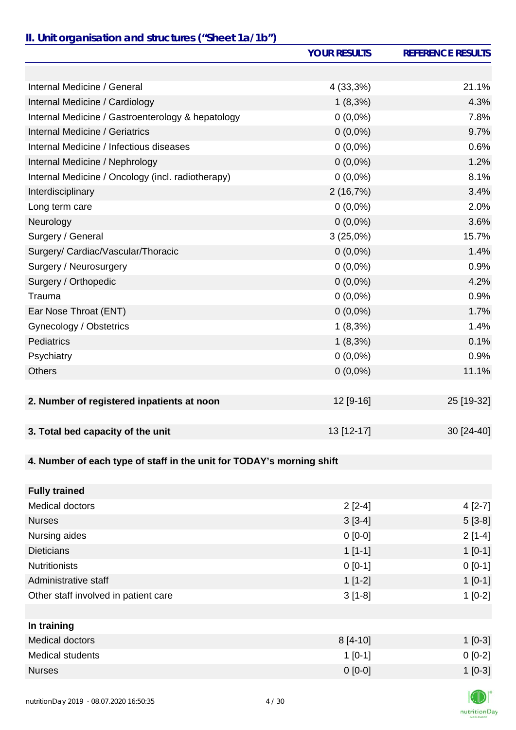# *II. Unit organisation and structures ("Sheet 1a/1b")*

|                                                                       | <b>YOUR RESULTS</b> | <b>REFERENCE RESULTS</b> |
|-----------------------------------------------------------------------|---------------------|--------------------------|
|                                                                       |                     |                          |
| Internal Medicine / General                                           | 4 (33,3%)           | 21.1%                    |
| Internal Medicine / Cardiology                                        | $1(8,3\%)$          | 4.3%                     |
| Internal Medicine / Gastroenterology & hepatology                     | $0(0,0\%)$          | 7.8%                     |
| Internal Medicine / Geriatrics                                        | $0(0,0\%)$          | 9.7%                     |
| Internal Medicine / Infectious diseases                               | $0(0,0\%)$          | 0.6%                     |
| Internal Medicine / Nephrology                                        | $0(0,0\%)$          | 1.2%                     |
| Internal Medicine / Oncology (incl. radiotherapy)                     | $0(0,0\%)$          | 8.1%                     |
| Interdisciplinary                                                     | 2(16,7%)            | 3.4%                     |
| Long term care                                                        | $0(0,0\%)$          | 2.0%                     |
| Neurology                                                             | $0(0,0\%)$          | 3.6%                     |
| Surgery / General                                                     | 3(25,0%)            | 15.7%                    |
| Surgery/ Cardiac/Vascular/Thoracic                                    | $0(0,0\%)$          | 1.4%                     |
| Surgery / Neurosurgery                                                | $0(0,0\%)$          | 0.9%                     |
| Surgery / Orthopedic                                                  | $0(0,0\%)$          | 4.2%                     |
| Trauma                                                                | $0(0,0\%)$          | 0.9%                     |
| Ear Nose Throat (ENT)                                                 | $0(0,0\%)$          | 1.7%                     |
| Gynecology / Obstetrics                                               | $1(8,3\%)$          | 1.4%                     |
| Pediatrics                                                            | $1(8,3\%)$          | 0.1%                     |
| Psychiatry                                                            | $0(0,0\%)$          | 0.9%                     |
| <b>Others</b>                                                         | $0(0,0\%)$          | 11.1%                    |
|                                                                       |                     |                          |
| 2. Number of registered inpatients at noon                            | 12 [9-16]           | 25 [19-32]               |
|                                                                       |                     |                          |
| 3. Total bed capacity of the unit                                     | 13 [12-17]          | 30 [24-40]               |
|                                                                       |                     |                          |
| 4. Number of each type of staff in the unit for TODAY's morning shift |                     |                          |
|                                                                       |                     |                          |
| <b>Fully trained</b>                                                  |                     |                          |
| Medical doctors                                                       | $2[2-4]$            | $4[2-7]$                 |
| <b>Nurses</b>                                                         | $3[3-4]$            | $5[3-8]$                 |
| Nursing aides                                                         | $0[0-0]$            | $2[1-4]$                 |
| <b>Dieticians</b>                                                     | $1[1-1]$            | $1[0-1]$                 |
| <b>Nutritionists</b>                                                  | $0 [0-1]$           | $0[0-1]$                 |
| Administrative staff                                                  | $1[1-2]$            | $1[0-1]$                 |
| Other staff involved in patient care                                  | $3[1-8]$            | $1[0-2]$                 |
|                                                                       |                     |                          |
| In training                                                           |                     |                          |
| Medical doctors                                                       | 8 [4-10]            | $1[0-3]$                 |
| <b>Medical students</b>                                               | $1[0-1]$            | $0[0-2]$                 |
| <b>Nurses</b>                                                         | $0 [0-0]$           | $1[0-3]$                 |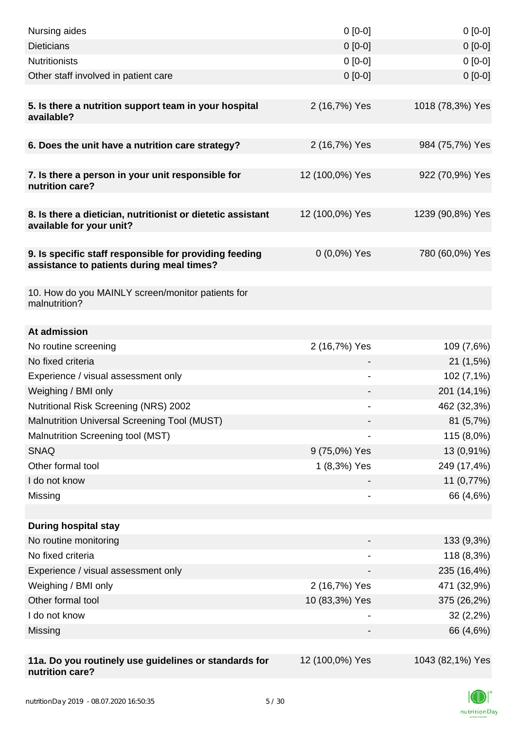| Nursing aides                                                                                       | $0[0-0]$        | $0[0-0]$         |
|-----------------------------------------------------------------------------------------------------|-----------------|------------------|
| <b>Dieticians</b>                                                                                   | $0 [0-0]$       | $0 [0-0]$        |
| <b>Nutritionists</b>                                                                                | $0 [0-0]$       | $0[0-0]$         |
| Other staff involved in patient care                                                                | $0 [0-0]$       | $0 [0-0]$        |
|                                                                                                     |                 |                  |
| 5. Is there a nutrition support team in your hospital<br>available?                                 | 2 (16,7%) Yes   | 1018 (78,3%) Yes |
| 6. Does the unit have a nutrition care strategy?                                                    | 2 (16,7%) Yes   | 984 (75,7%) Yes  |
|                                                                                                     |                 |                  |
| 7. Is there a person in your unit responsible for<br>nutrition care?                                | 12 (100,0%) Yes | 922 (70,9%) Yes  |
| 8. Is there a dietician, nutritionist or dietetic assistant<br>available for your unit?             | 12 (100,0%) Yes | 1239 (90,8%) Yes |
| 9. Is specific staff responsible for providing feeding<br>assistance to patients during meal times? | $0(0,0\%)$ Yes  | 780 (60,0%) Yes  |
| 10. How do you MAINLY screen/monitor patients for<br>malnutrition?                                  |                 |                  |
|                                                                                                     |                 |                  |
| At admission                                                                                        |                 |                  |
| No routine screening                                                                                | 2 (16,7%) Yes   | 109 (7,6%)       |
| No fixed criteria                                                                                   |                 | 21(1,5%)         |
| Experience / visual assessment only                                                                 | -               | 102 (7,1%)       |
| Weighing / BMI only                                                                                 |                 | 201 (14,1%)      |
| Nutritional Risk Screening (NRS) 2002                                                               | -               | 462 (32,3%)      |
| Malnutrition Universal Screening Tool (MUST)                                                        |                 | 81 (5,7%)        |
| Malnutrition Screening tool (MST)                                                                   |                 | 115 (8,0%)       |
| <b>SNAQ</b>                                                                                         | 9 (75,0%) Yes   | 13 (0,91%)       |
| Other formal tool                                                                                   | 1 (8,3%) Yes    | 249 (17,4%)      |
| I do not know                                                                                       |                 | 11 (0,77%)       |
| Missing                                                                                             |                 | 66 (4,6%)        |
|                                                                                                     |                 |                  |
| <b>During hospital stay</b>                                                                         |                 |                  |
| No routine monitoring                                                                               |                 | 133 (9,3%)       |
| No fixed criteria                                                                                   |                 | 118 (8,3%)       |
| Experience / visual assessment only                                                                 | -               | 235 (16,4%)      |
| Weighing / BMI only                                                                                 | 2 (16,7%) Yes   | 471 (32,9%)      |
| Other formal tool                                                                                   | 10 (83,3%) Yes  | 375 (26,2%)      |
| I do not know                                                                                       |                 | 32(2,2%)         |
| Missing                                                                                             |                 | 66 (4,6%)        |
|                                                                                                     |                 |                  |
| 11a. Do you routinely use guidelines or standards for<br>nutrition care?                            | 12 (100,0%) Yes | 1043 (82,1%) Yes |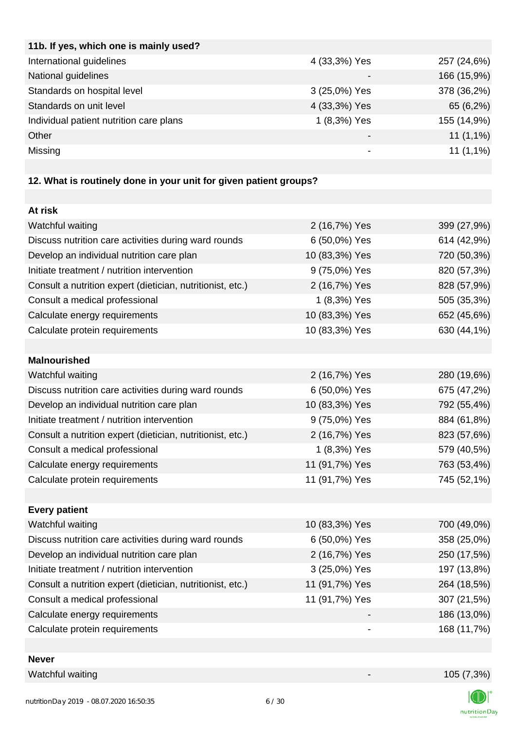| 4 (33,3%) Yes   | 257 (24,6%) |
|-----------------|-------------|
|                 | 166 (15,9%) |
| 3 (25,0%) Yes   | 378 (36,2%) |
| 4 (33,3%) Yes   | 65 (6,2%)   |
| 1 (8,3%) Yes    | 155 (14,9%) |
| $\qquad \qquad$ | $11(1,1\%)$ |
|                 | $11(1,1\%)$ |
|                 |             |

## **12. What is routinely done in your unit for given patient groups?**

| At risk                                                    |                |             |
|------------------------------------------------------------|----------------|-------------|
| Watchful waiting                                           | 2 (16,7%) Yes  | 399 (27,9%) |
| Discuss nutrition care activities during ward rounds       | 6 (50,0%) Yes  | 614 (42,9%) |
| Develop an individual nutrition care plan                  | 10 (83,3%) Yes | 720 (50,3%) |
| Initiate treatment / nutrition intervention                | 9 (75,0%) Yes  | 820 (57,3%) |
| Consult a nutrition expert (dietician, nutritionist, etc.) | 2 (16,7%) Yes  | 828 (57,9%) |
| Consult a medical professional                             | 1 (8,3%) Yes   | 505 (35,3%) |
| Calculate energy requirements                              | 10 (83,3%) Yes | 652 (45,6%) |
| Calculate protein requirements                             | 10 (83,3%) Yes | 630 (44,1%) |
|                                                            |                |             |
| <b>Malnourished</b>                                        |                |             |
| Watchful waiting                                           | 2 (16,7%) Yes  | 280 (19,6%) |
| Discuss nutrition care activities during ward rounds       | 6 (50,0%) Yes  | 675 (47,2%) |
| Develop an individual nutrition care plan                  | 10 (83,3%) Yes | 792 (55,4%) |
| Initiate treatment / nutrition intervention                | 9 (75,0%) Yes  | 884 (61,8%) |
| Consult a nutrition expert (dietician, nutritionist, etc.) | 2 (16,7%) Yes  | 823 (57,6%) |
| Consult a medical professional                             | 1 (8,3%) Yes   | 579 (40,5%) |
| Calculate energy requirements                              | 11 (91,7%) Yes | 763 (53,4%) |
| Calculate protein requirements                             | 11 (91,7%) Yes | 745 (52,1%) |
|                                                            |                |             |
| <b>Every patient</b>                                       |                |             |
| Watchful waiting                                           | 10 (83,3%) Yes | 700 (49,0%) |
| Discuss nutrition care activities during ward rounds       | 6 (50,0%) Yes  | 358 (25,0%) |
| Develop an individual nutrition care plan                  | 2 (16,7%) Yes  | 250 (17,5%) |
| Initiate treatment / nutrition intervention                | 3 (25,0%) Yes  | 197 (13,8%) |
| Consult a nutrition expert (dietician, nutritionist, etc.) | 11 (91,7%) Yes | 264 (18,5%) |
| Consult a medical professional                             | 11 (91,7%) Yes | 307 (21,5%) |
| Calculate energy requirements                              |                | 186 (13,0%) |
| Calculate protein requirements                             |                | 168 (11,7%) |
|                                                            |                |             |

#### **Never**

Watchful waiting 105 (7,3%)



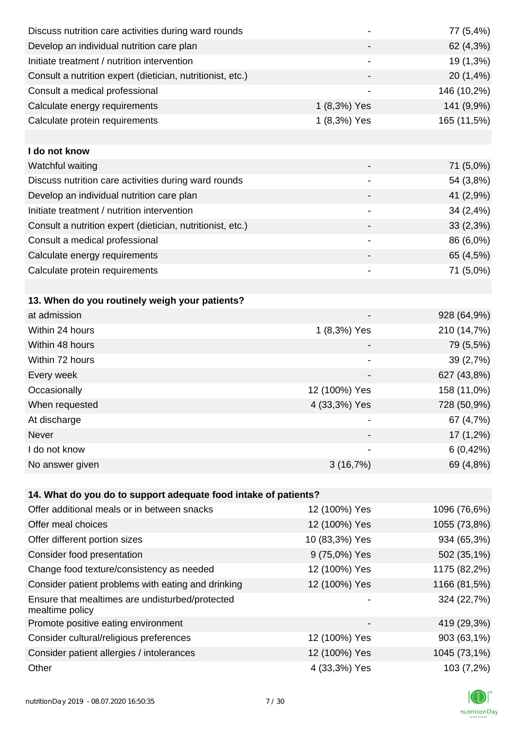| Discuss nutrition care activities during ward rounds               |                              | 77 (5,4%)    |
|--------------------------------------------------------------------|------------------------------|--------------|
| Develop an individual nutrition care plan                          |                              | 62 (4,3%)    |
| Initiate treatment / nutrition intervention                        |                              | 19 (1,3%)    |
| Consult a nutrition expert (dietician, nutritionist, etc.)         |                              | 20 (1,4%)    |
| Consult a medical professional                                     |                              | 146 (10,2%)  |
| Calculate energy requirements                                      | 1 (8,3%) Yes                 | 141 (9,9%)   |
| Calculate protein requirements                                     | 1 (8,3%) Yes                 | 165 (11,5%)  |
|                                                                    |                              |              |
| I do not know                                                      |                              |              |
| Watchful waiting                                                   |                              | 71 (5,0%)    |
| Discuss nutrition care activities during ward rounds               |                              | 54 (3,8%)    |
| Develop an individual nutrition care plan                          |                              | 41 (2,9%)    |
| Initiate treatment / nutrition intervention                        |                              | 34 (2,4%)    |
| Consult a nutrition expert (dietician, nutritionist, etc.)         |                              | 33(2,3%)     |
| Consult a medical professional                                     |                              | 86 (6,0%)    |
| Calculate energy requirements                                      |                              | 65 (4,5%)    |
| Calculate protein requirements                                     | $\qquad \qquad \blacksquare$ | 71 (5,0%)    |
|                                                                    |                              |              |
| 13. When do you routinely weigh your patients?                     |                              |              |
| at admission                                                       |                              | 928 (64,9%)  |
| Within 24 hours                                                    | 1 (8,3%) Yes                 | 210 (14,7%)  |
| Within 48 hours                                                    |                              | 79 (5,5%)    |
| Within 72 hours                                                    |                              | 39 (2,7%)    |
| Every week                                                         |                              | 627 (43,8%)  |
| Occasionally                                                       | 12 (100%) Yes                | 158 (11,0%)  |
| When requested                                                     | 4 (33,3%) Yes                | 728 (50,9%)  |
| At discharge                                                       |                              | 67 (4,7%)    |
| Never                                                              |                              | $17(1,2\%)$  |
| I do not know                                                      |                              | 6(0, 42%)    |
| No answer given                                                    | 3(16,7%)                     | 69 (4,8%)    |
|                                                                    |                              |              |
| 14. What do you do to support adequate food intake of patients?    |                              |              |
| Offer additional meals or in between snacks                        | 12 (100%) Yes                | 1096 (76,6%) |
| Offer meal choices                                                 | 12 (100%) Yes                | 1055 (73,8%) |
| Offer different portion sizes                                      | 10 (83,3%) Yes               | 934 (65,3%)  |
| Consider food presentation                                         | 9 (75,0%) Yes                | 502 (35,1%)  |
| Change food texture/consistency as needed                          | 12 (100%) Yes                | 1175 (82,2%) |
| Consider patient problems with eating and drinking                 | 12 (100%) Yes                | 1166 (81,5%) |
| Ensure that mealtimes are undisturbed/protected<br>mealtime policy |                              | 324 (22,7%)  |
| Promote positive eating environment                                |                              | 419 (29,3%)  |
| Consider cultural/religious preferences                            | 12 (100%) Yes                | 903 (63,1%)  |
| Consider patient allergies / intolerances                          | 12 (100%) Yes                | 1045 (73,1%) |
| Other                                                              | 4 (33,3%) Yes                | 103 (7,2%)   |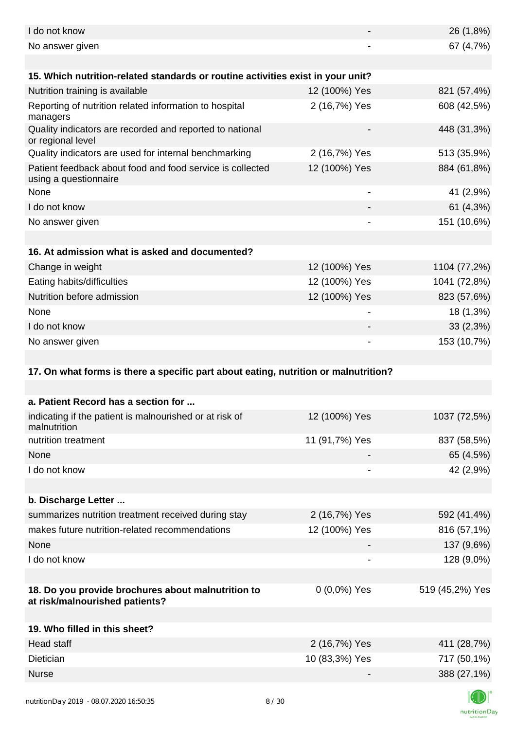| I do not know                                                                        |                          | 26 (1,8%)       |
|--------------------------------------------------------------------------------------|--------------------------|-----------------|
| No answer given                                                                      |                          | 67 (4,7%)       |
|                                                                                      |                          |                 |
| 15. Which nutrition-related standards or routine activities exist in your unit?      |                          |                 |
| Nutrition training is available                                                      | 12 (100%) Yes            | 821 (57,4%)     |
| Reporting of nutrition related information to hospital<br>managers                   | 2 (16,7%) Yes            | 608 (42,5%)     |
| Quality indicators are recorded and reported to national<br>or regional level        |                          | 448 (31,3%)     |
| Quality indicators are used for internal benchmarking                                | 2 (16,7%) Yes            | 513 (35,9%)     |
| Patient feedback about food and food service is collected<br>using a questionnaire   | 12 (100%) Yes            | 884 (61,8%)     |
| None                                                                                 | $\overline{\phantom{a}}$ | 41 (2,9%)       |
| I do not know                                                                        |                          | 61 (4,3%)       |
| No answer given                                                                      |                          | 151 (10,6%)     |
|                                                                                      |                          |                 |
| 16. At admission what is asked and documented?                                       |                          |                 |
| Change in weight                                                                     | 12 (100%) Yes            | 1104 (77,2%)    |
| Eating habits/difficulties                                                           | 12 (100%) Yes            | 1041 (72,8%)    |
| Nutrition before admission                                                           | 12 (100%) Yes            | 823 (57,6%)     |
| None                                                                                 |                          | 18 (1,3%)       |
| I do not know                                                                        |                          | $33(2,3\%)$     |
| No answer given                                                                      |                          | 153 (10,7%)     |
|                                                                                      |                          |                 |
| 17. On what forms is there a specific part about eating, nutrition or malnutrition?  |                          |                 |
|                                                                                      |                          |                 |
| a. Patient Record has a section for                                                  |                          |                 |
| indicating if the patient is malnourished or at risk of<br>malnutrition              | 12 (100%) Yes            | 1037 (72,5%)    |
| nutrition treatment                                                                  | 11 (91,7%) Yes           | 837 (58,5%)     |
| None                                                                                 |                          | 65 (4,5%)       |
| I do not know                                                                        |                          | 42 (2,9%)       |
|                                                                                      |                          |                 |
| b. Discharge Letter                                                                  |                          |                 |
| summarizes nutrition treatment received during stay                                  | 2 (16,7%) Yes            | 592 (41,4%)     |
| makes future nutrition-related recommendations                                       | 12 (100%) Yes            | 816 (57,1%)     |
| None                                                                                 |                          | 137 (9,6%)      |
| I do not know                                                                        |                          | 128 (9,0%)      |
|                                                                                      |                          |                 |
| 18. Do you provide brochures about malnutrition to<br>at risk/malnourished patients? | 0 (0,0%) Yes             | 519 (45,2%) Yes |
|                                                                                      |                          |                 |
| 19. Who filled in this sheet?                                                        |                          |                 |
| <b>Head staff</b>                                                                    | 2 (16,7%) Yes            | 411 (28,7%)     |
| Dietician                                                                            | 10 (83,3%) Yes           | 717 (50,1%)     |
| <b>Nurse</b>                                                                         |                          | 388 (27,1%)     |
|                                                                                      |                          |                 |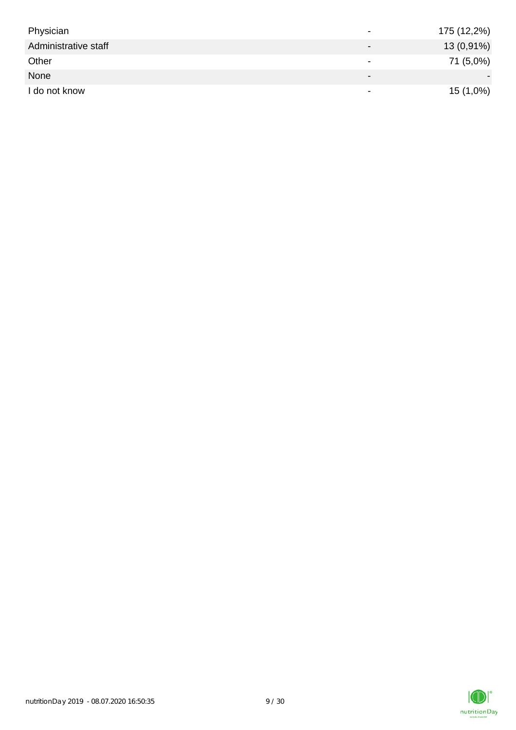| Physician            | $\overline{\phantom{0}}$ | 175 (12,2%) |
|----------------------|--------------------------|-------------|
| Administrative staff |                          | 13 (0,91%)  |
| Other                | $\overline{\phantom{0}}$ | 71 (5,0%)   |
| None                 | $\overline{\phantom{0}}$ |             |
| I do not know        | $\overline{\phantom{a}}$ | $15(1,0\%)$ |

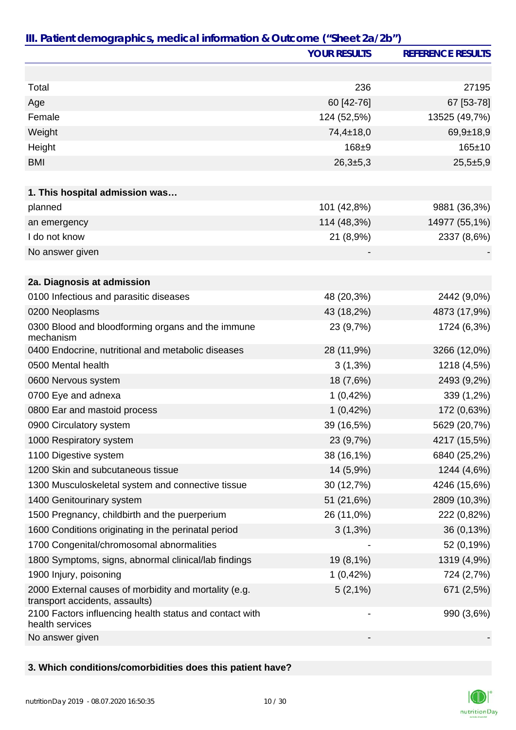|                                                                                         | <b>YOUR RESULTS</b>      | <b>REFERENCE RESULTS</b> |
|-----------------------------------------------------------------------------------------|--------------------------|--------------------------|
|                                                                                         |                          |                          |
| Total                                                                                   | 236                      | 27195                    |
| Age                                                                                     | 60 [42-76]               | 67 [53-78]               |
| Female                                                                                  | 124 (52,5%)              | 13525 (49,7%)            |
| Weight                                                                                  | $74,4 \pm 18,0$          | $69,9+18,9$              |
| Height                                                                                  | $168 + 9$                | $165 \pm 10$             |
| <b>BMI</b>                                                                              | $26,3+5,3$               | $25,5+5,9$               |
|                                                                                         |                          |                          |
| 1. This hospital admission was                                                          |                          |                          |
| planned                                                                                 | 101 (42,8%)              | 9881 (36,3%)             |
| an emergency                                                                            | 114 (48,3%)              | 14977 (55,1%)            |
| I do not know                                                                           | 21 (8,9%)                | 2337 (8,6%)              |
| No answer given                                                                         |                          |                          |
|                                                                                         |                          |                          |
| 2a. Diagnosis at admission                                                              |                          |                          |
| 0100 Infectious and parasitic diseases                                                  | 48 (20,3%)               | 2442 (9,0%)              |
| 0200 Neoplasms                                                                          | 43 (18,2%)               | 4873 (17,9%)             |
| 0300 Blood and bloodforming organs and the immune<br>mechanism                          | 23 (9,7%)                | 1724 (6,3%)              |
| 0400 Endocrine, nutritional and metabolic diseases                                      | 28 (11,9%)               | 3266 (12,0%)             |
| 0500 Mental health                                                                      | $3(1,3\%)$               | 1218 (4,5%)              |
| 0600 Nervous system                                                                     | 18 (7,6%)                | 2493 (9,2%)              |
| 0700 Eye and adnexa                                                                     | 1(0,42%)                 | 339 (1,2%)               |
| 0800 Ear and mastoid process                                                            | 1(0,42%)                 | 172 (0,63%)              |
| 0900 Circulatory system                                                                 | 39 (16,5%)               | 5629 (20,7%)             |
| 1000 Respiratory system                                                                 | 23 (9,7%)                | 4217 (15,5%)             |
| 1100 Digestive system                                                                   | 38 (16,1%)               | 6840 (25,2%)             |
| 1200 Skin and subcutaneous tissue                                                       | 14 (5,9%)                | 1244 (4,6%)              |
| 1300 Musculoskeletal system and connective tissue                                       | 30 (12,7%)               | 4246 (15,6%)             |
| 1400 Genitourinary system                                                               | 51 (21,6%)               | 2809 (10,3%)             |
| 1500 Pregnancy, childbirth and the puerperium                                           | 26 (11,0%)               | 222 (0,82%)              |
| 1600 Conditions originating in the perinatal period                                     | $3(1,3\%)$               | 36 (0,13%)               |
| 1700 Congenital/chromosomal abnormalities                                               |                          | 52 (0,19%)               |
| 1800 Symptoms, signs, abnormal clinical/lab findings                                    | 19 (8,1%)                | 1319 (4,9%)              |
| 1900 Injury, poisoning                                                                  | 1(0,42%)                 | 724 (2,7%)               |
| 2000 External causes of morbidity and mortality (e.g.<br>transport accidents, assaults) | $5(2,1\%)$               | 671 (2,5%)               |
| 2100 Factors influencing health status and contact with<br>health services              | $\overline{\phantom{a}}$ | 990 (3,6%)               |
| No answer given                                                                         |                          |                          |

## **3. Which conditions/comorbidities does this patient have?**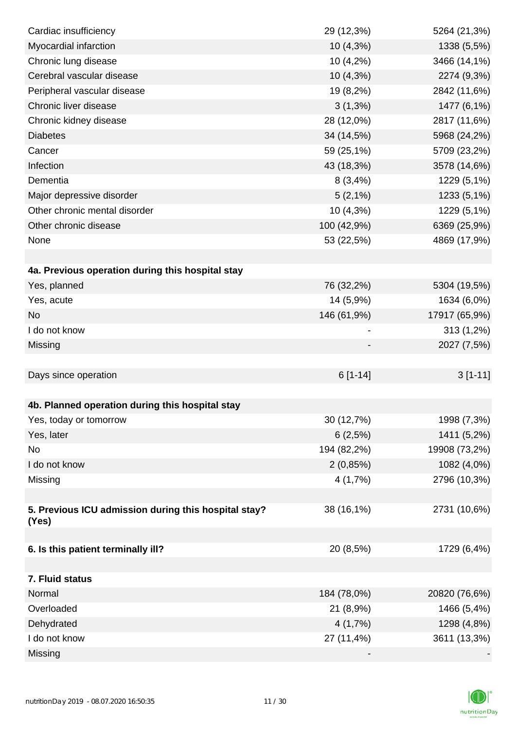| Cardiac insufficiency                                | 29 (12,3%)  | 5264 (21,3%)  |
|------------------------------------------------------|-------------|---------------|
| Myocardial infarction                                | 10 (4,3%)   | 1338 (5,5%)   |
| Chronic lung disease                                 | 10 (4,2%)   | 3466 (14,1%)  |
| Cerebral vascular disease                            | $10(4,3\%)$ | 2274 (9,3%)   |
| Peripheral vascular disease                          | 19 (8,2%)   | 2842 (11,6%)  |
| Chronic liver disease                                | $3(1,3\%)$  | 1477 (6,1%)   |
| Chronic kidney disease                               | 28 (12,0%)  | 2817 (11,6%)  |
| <b>Diabetes</b>                                      | 34 (14,5%)  | 5968 (24,2%)  |
| Cancer                                               | 59 (25,1%)  | 5709 (23,2%)  |
| Infection                                            | 43 (18,3%)  | 3578 (14,6%)  |
| Dementia                                             | 8(3,4%)     | 1229 (5,1%)   |
| Major depressive disorder                            | $5(2,1\%)$  | 1233 (5,1%)   |
| Other chronic mental disorder                        | 10 (4,3%)   | 1229 (5,1%)   |
| Other chronic disease                                | 100 (42,9%) | 6369 (25,9%)  |
| None                                                 | 53 (22,5%)  | 4869 (17,9%)  |
|                                                      |             |               |
| 4a. Previous operation during this hospital stay     |             |               |
| Yes, planned                                         | 76 (32,2%)  | 5304 (19,5%)  |
| Yes, acute                                           | 14 (5,9%)   | 1634 (6,0%)   |
| <b>No</b>                                            | 146 (61,9%) | 17917 (65,9%) |
| I do not know                                        |             | 313 (1,2%)    |
| Missing                                              |             | 2027 (7,5%)   |
|                                                      |             |               |
| Days since operation                                 | $6[1-14]$   | $3[1-11]$     |
|                                                      |             |               |
| 4b. Planned operation during this hospital stay      |             |               |
| Yes, today or tomorrow                               | 30 (12,7%)  | 1998 (7,3%)   |
| Yes, later                                           | 6(2,5%)     | 1411 (5,2%)   |
| No                                                   | 194 (82,2%) | 19908 (73,2%) |
| I do not know                                        | 2(0,85%)    | 1082 (4,0%)   |
| Missing                                              | 4(1,7%)     | 2796 (10,3%)  |
|                                                      |             |               |
| 5. Previous ICU admission during this hospital stay? | 38 (16,1%)  | 2731 (10,6%)  |
| (Yes)                                                |             |               |
| 6. Is this patient terminally ill?                   | 20 (8,5%)   | 1729 (6,4%)   |
|                                                      |             |               |
| 7. Fluid status                                      |             |               |
| Normal                                               | 184 (78,0%) | 20820 (76,6%) |
| Overloaded                                           | 21 (8,9%)   | 1466 (5,4%)   |
| Dehydrated                                           | 4(1,7%)     | 1298 (4,8%)   |
| I do not know                                        | 27 (11,4%)  | 3611 (13,3%)  |
| Missing                                              |             |               |

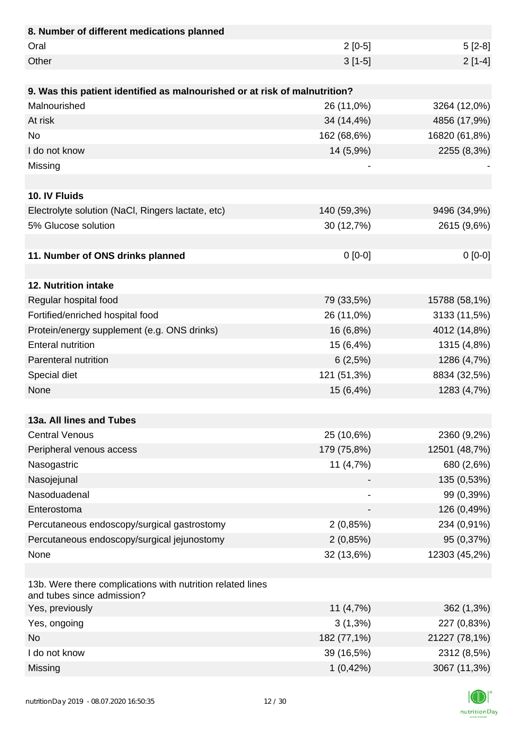| 8. Number of different medications planned                                               |             |               |
|------------------------------------------------------------------------------------------|-------------|---------------|
| Oral                                                                                     | $2[0-5]$    | $5[2-8]$      |
| Other                                                                                    | $3[1-5]$    | $2[1-4]$      |
|                                                                                          |             |               |
| 9. Was this patient identified as malnourished or at risk of malnutrition?               |             |               |
| Malnourished                                                                             | 26 (11,0%)  | 3264 (12,0%)  |
| At risk                                                                                  | 34 (14,4%)  | 4856 (17,9%)  |
| <b>No</b>                                                                                | 162 (68,6%) | 16820 (61,8%) |
| I do not know                                                                            | 14 (5,9%)   | 2255 (8,3%)   |
| Missing                                                                                  |             |               |
|                                                                                          |             |               |
| 10. IV Fluids                                                                            |             |               |
| Electrolyte solution (NaCl, Ringers lactate, etc)                                        | 140 (59,3%) | 9496 (34,9%)  |
| 5% Glucose solution                                                                      | 30 (12,7%)  | 2615 (9,6%)   |
|                                                                                          |             |               |
| 11. Number of ONS drinks planned                                                         | $0[0-0]$    | $0[0-0]$      |
|                                                                                          |             |               |
| 12. Nutrition intake                                                                     |             |               |
| Regular hospital food                                                                    | 79 (33,5%)  | 15788 (58,1%) |
| Fortified/enriched hospital food                                                         | 26 (11,0%)  | 3133 (11,5%)  |
| Protein/energy supplement (e.g. ONS drinks)                                              | 16 (6,8%)   | 4012 (14,8%)  |
| <b>Enteral nutrition</b>                                                                 | 15 (6,4%)   | 1315 (4,8%)   |
| Parenteral nutrition                                                                     | 6(2,5%)     | 1286 (4,7%)   |
| Special diet                                                                             | 121 (51,3%) | 8834 (32,5%)  |
| None                                                                                     | 15 (6,4%)   | 1283 (4,7%)   |
|                                                                                          |             |               |
| 13a. All lines and Tubes                                                                 |             |               |
| <b>Central Venous</b>                                                                    | 25 (10,6%)  | 2360 (9,2%)   |
| Peripheral venous access                                                                 | 179 (75,8%) | 12501 (48,7%) |
| Nasogastric                                                                              | 11 (4,7%)   | 680 (2,6%)    |
| Nasojejunal                                                                              |             | 135 (0,53%)   |
| Nasoduadenal                                                                             |             | 99 (0,39%)    |
| Enterostoma                                                                              |             | 126 (0,49%)   |
| Percutaneous endoscopy/surgical gastrostomy                                              | 2(0,85%)    | 234 (0,91%)   |
| Percutaneous endoscopy/surgical jejunostomy                                              | 2(0,85%)    | 95 (0,37%)    |
| None                                                                                     | 32 (13,6%)  | 12303 (45,2%) |
|                                                                                          |             |               |
| 13b. Were there complications with nutrition related lines<br>and tubes since admission? |             |               |
| Yes, previously                                                                          | 11 $(4,7%)$ | 362 (1,3%)    |
| Yes, ongoing                                                                             | $3(1,3\%)$  | 227 (0,83%)   |
| <b>No</b>                                                                                | 182 (77,1%) | 21227 (78,1%) |
| I do not know                                                                            | 39 (16,5%)  | 2312 (8,5%)   |
| Missing                                                                                  | 1(0,42%)    | 3067 (11,3%)  |

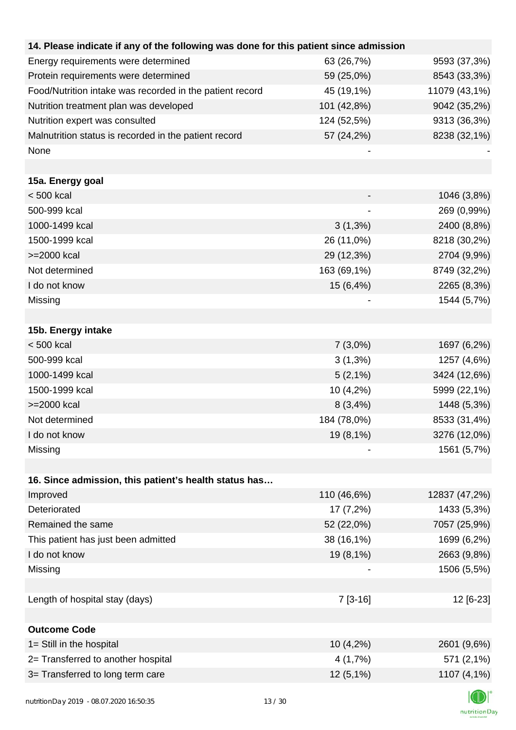| 14. Please indicate if any of the following was done for this patient since admission |             |               |
|---------------------------------------------------------------------------------------|-------------|---------------|
| Energy requirements were determined                                                   | 63 (26,7%)  | 9593 (37,3%)  |
| Protein requirements were determined                                                  | 59 (25,0%)  | 8543 (33,3%)  |
| Food/Nutrition intake was recorded in the patient record                              | 45 (19,1%)  | 11079 (43,1%) |
| Nutrition treatment plan was developed                                                | 101 (42,8%) | 9042 (35,2%)  |
| Nutrition expert was consulted                                                        | 124 (52,5%) | 9313 (36,3%)  |
| Malnutrition status is recorded in the patient record                                 | 57 (24,2%)  | 8238 (32,1%)  |
| None                                                                                  |             |               |
|                                                                                       |             |               |
| 15a. Energy goal                                                                      |             |               |
| $< 500$ kcal                                                                          |             | 1046 (3,8%)   |
| 500-999 kcal                                                                          |             | 269 (0,99%)   |
| 1000-1499 kcal                                                                        | $3(1,3\%)$  | 2400 (8,8%)   |
| 1500-1999 kcal                                                                        | 26 (11,0%)  | 8218 (30,2%)  |
| >=2000 kcal                                                                           | 29 (12,3%)  | 2704 (9,9%)   |
| Not determined                                                                        | 163 (69,1%) | 8749 (32,2%)  |
| I do not know                                                                         | 15 (6,4%)   | 2265 (8,3%)   |
| Missing                                                                               |             | 1544 (5,7%)   |
|                                                                                       |             |               |
| 15b. Energy intake                                                                    |             |               |
| $< 500$ kcal                                                                          | $7(3,0\%)$  | 1697 (6,2%)   |
| 500-999 kcal                                                                          | $3(1,3\%)$  | 1257 (4,6%)   |
| 1000-1499 kcal                                                                        | $5(2,1\%)$  | 3424 (12,6%)  |
| 1500-1999 kcal                                                                        | 10 (4,2%)   | 5999 (22,1%)  |
| >=2000 kcal                                                                           | 8(3,4%)     | 1448 (5,3%)   |
| Not determined                                                                        | 184 (78,0%) | 8533 (31,4%)  |
| I do not know                                                                         | 19 (8,1%)   | 3276 (12,0%)  |
| Missing                                                                               |             | 1561 (5,7%)   |
|                                                                                       |             |               |
| 16. Since admission, this patient's health status has                                 |             |               |
| Improved                                                                              | 110 (46,6%) | 12837 (47,2%) |
| Deteriorated                                                                          | 17 (7,2%)   | 1433 (5,3%)   |
| Remained the same                                                                     | 52 (22,0%)  | 7057 (25,9%)  |
| This patient has just been admitted                                                   | 38 (16,1%)  | 1699 (6,2%)   |
| I do not know                                                                         | 19 (8,1%)   | 2663 (9,8%)   |
| Missing                                                                               |             | 1506 (5,5%)   |
|                                                                                       |             |               |
| Length of hospital stay (days)                                                        | $7[3-16]$   | 12 [6-23]     |
|                                                                                       |             |               |
| <b>Outcome Code</b>                                                                   |             |               |
| 1= Still in the hospital                                                              | 10(4,2%)    | 2601 (9,6%)   |
| 2= Transferred to another hospital                                                    | 4 (1,7%)    | 571 (2,1%)    |
| 3= Transferred to long term care                                                      | $12(5,1\%)$ | 1107 (4,1%)   |
|                                                                                       |             |               |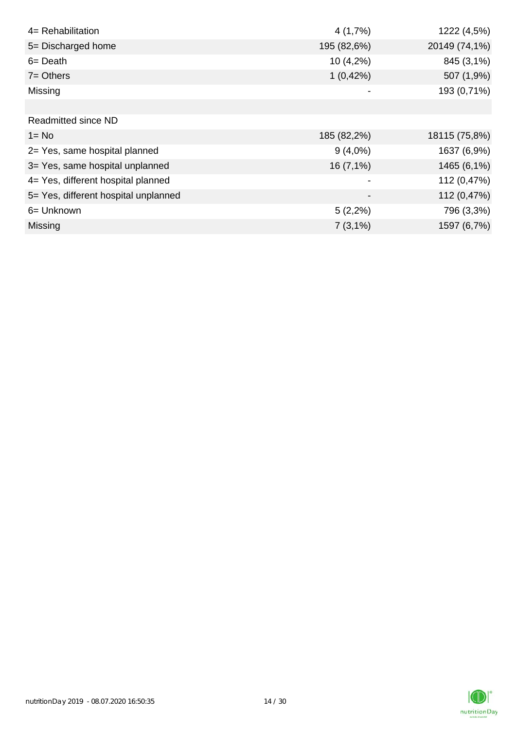| 4= Rehabilitation                    | 4(1,7%)                      | 1222 (4,5%)   |
|--------------------------------------|------------------------------|---------------|
| 5= Discharged home                   | 195 (82,6%)                  | 20149 (74,1%) |
| $6 = Death$                          | $10(4,2\%)$                  | 845 (3,1%)    |
| $7 = Others$                         | 1(0,42%)                     | 507 (1,9%)    |
| Missing                              |                              | 193 (0,71%)   |
|                                      |                              |               |
| <b>Readmitted since ND</b>           |                              |               |
| $1 = No$                             | 185 (82,2%)                  | 18115 (75,8%) |
| 2= Yes, same hospital planned        | $9(4,0\%)$                   | 1637 (6,9%)   |
| 3= Yes, same hospital unplanned      | 16(7,1%)                     | 1465 (6,1%)   |
| 4= Yes, different hospital planned   |                              | 112 (0,47%)   |
| 5= Yes, different hospital unplanned | $\qquad \qquad \blacksquare$ | 112 (0,47%)   |
| 6= Unknown                           | $5(2,2\%)$                   | 796 (3,3%)    |
| Missing                              | $7(3,1\%)$                   | 1597 (6,7%)   |

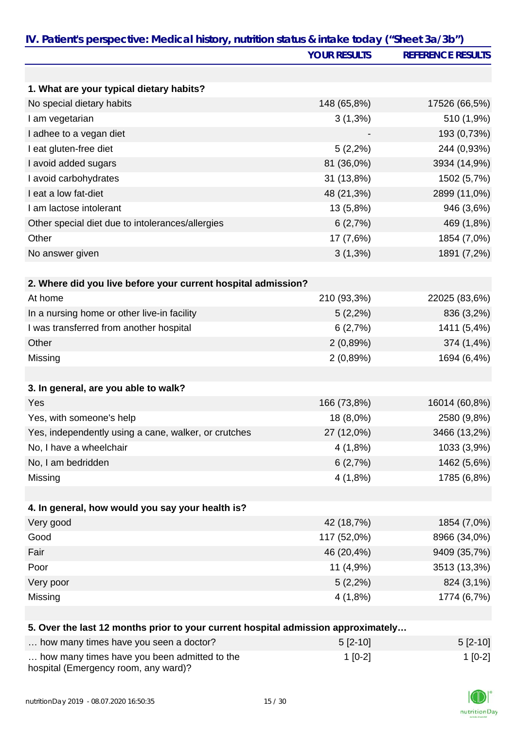| IV. Patient's perspective: Medical history, nutrition status & intake today ("Sheet 3a/3b") | <b>YOUR RESULTS</b> | <b>REFERENCE RESULTS</b> |
|---------------------------------------------------------------------------------------------|---------------------|--------------------------|
|                                                                                             |                     |                          |
|                                                                                             |                     |                          |
| 1. What are your typical dietary habits?                                                    |                     |                          |
| No special dietary habits                                                                   | 148 (65,8%)         | 17526 (66,5%)            |
| I am vegetarian                                                                             | $3(1,3\%)$          | 510 (1,9%)               |
| I adhee to a vegan diet                                                                     |                     | 193 (0,73%)              |
| I eat gluten-free diet                                                                      | $5(2,2\%)$          | 244 (0,93%)              |
| I avoid added sugars                                                                        | 81 (36,0%)          | 3934 (14,9%)             |
| I avoid carbohydrates                                                                       | 31 (13,8%)          | 1502 (5,7%)              |
| I eat a low fat-diet                                                                        | 48 (21,3%)          | 2899 (11,0%)             |
| I am lactose intolerant                                                                     | 13 (5,8%)           | 946 (3,6%)               |
| Other special diet due to intolerances/allergies                                            | 6(2,7%)             | 469 (1,8%)               |
| Other                                                                                       | 17 (7,6%)           | 1854 (7,0%)              |
| No answer given                                                                             | $3(1,3\%)$          | 1891 (7,2%)              |
|                                                                                             |                     |                          |
| 2. Where did you live before your current hospital admission?                               |                     |                          |
| At home                                                                                     | 210 (93,3%)         | 22025 (83,6%)            |
| In a nursing home or other live-in facility                                                 | $5(2,2\%)$          | 836 (3,2%)               |
| I was transferred from another hospital                                                     | 6(2,7%)             | 1411 (5,4%)              |
| Other                                                                                       | 2(0,89%)            | 374 (1,4%)               |
| Missing                                                                                     | 2(0,89%)            | 1694 (6,4%)              |
|                                                                                             |                     |                          |
| 3. In general, are you able to walk?                                                        |                     |                          |
| Yes                                                                                         | 166 (73,8%)         | 16014 (60,8%)            |
| Yes, with someone's help                                                                    | 18 (8,0%)           | 2580 (9,8%)              |
| Yes, independently using a cane, walker, or crutches                                        | 27 (12,0%)          | 3466 (13,2%)             |
| No, I have a wheelchair                                                                     | 4(1,8%)             | 1033 (3,9%)              |
| No, I am bedridden                                                                          | 6(2,7%)             | 1462 (5,6%)              |
| Missing                                                                                     | 4(1,8%)             | 1785 (6,8%)              |
|                                                                                             |                     |                          |
| 4. In general, how would you say your health is?                                            |                     |                          |
| Very good                                                                                   | 42 (18,7%)          | 1854 (7,0%)              |
| Good                                                                                        | 117 (52,0%)         | 8966 (34,0%)             |
| Fair                                                                                        | 46 (20,4%)          | 9409 (35,7%)             |
| Poor                                                                                        | 11 (4,9%)           | 3513 (13,3%)             |
| Very poor                                                                                   | $5(2,2\%)$          | 824 (3,1%)               |
| Missing                                                                                     | 4(1,8%)             | 1774 (6,7%)              |
|                                                                                             |                     |                          |
| 5. Over the last 12 months prior to your current hospital admission approximately           |                     |                          |
| how many times have you seen a doctor?                                                      | $5[2-10]$           | $5[2-10]$                |
| how many times have you been admitted to the                                                | $1[0-2]$            | $1[0-2]$                 |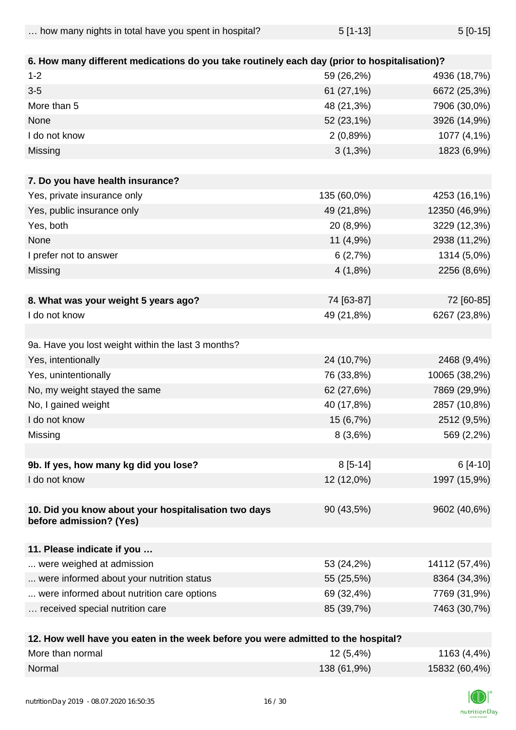| how many nights in total have you spent in hospital? | $5[1-13]$ | $5[0-15]$ |
|------------------------------------------------------|-----------|-----------|
|------------------------------------------------------|-----------|-----------|

| 6. How many different medications do you take routinely each day (prior to hospitalisation)? |             |               |
|----------------------------------------------------------------------------------------------|-------------|---------------|
| $1 - 2$                                                                                      | 59 (26,2%)  | 4936 (18,7%)  |
| $3-5$                                                                                        | 61 (27,1%)  | 6672 (25,3%)  |
| More than 5                                                                                  | 48 (21,3%)  | 7906 (30,0%)  |
| None                                                                                         | 52 (23,1%)  | 3926 (14,9%)  |
| I do not know                                                                                | 2(0,89%)    | 1077 (4,1%)   |
| Missing                                                                                      | $3(1,3\%)$  | 1823 (6,9%)   |
|                                                                                              |             |               |
| 7. Do you have health insurance?                                                             |             |               |
| Yes, private insurance only                                                                  | 135 (60,0%) | 4253 (16,1%)  |
| Yes, public insurance only                                                                   | 49 (21,8%)  | 12350 (46,9%) |
| Yes, both                                                                                    | 20 (8,9%)   | 3229 (12,3%)  |
| None                                                                                         | 11 (4,9%)   | 2938 (11,2%)  |
| I prefer not to answer                                                                       | 6(2,7%)     | 1314 (5,0%)   |
| Missing                                                                                      | 4(1,8%)     | 2256 (8,6%)   |
|                                                                                              |             |               |
| 8. What was your weight 5 years ago?                                                         | 74 [63-87]  | 72 [60-85]    |
| I do not know                                                                                | 49 (21,8%)  | 6267 (23,8%)  |
|                                                                                              |             |               |
| 9a. Have you lost weight within the last 3 months?                                           |             |               |
| Yes, intentionally                                                                           | 24 (10,7%)  | 2468 (9,4%)   |
| Yes, unintentionally                                                                         | 76 (33,8%)  | 10065 (38,2%) |
| No, my weight stayed the same                                                                | 62 (27,6%)  | 7869 (29,9%)  |
| No, I gained weight                                                                          | 40 (17,8%)  | 2857 (10,8%)  |
| I do not know                                                                                | 15 (6,7%)   | 2512 (9,5%)   |
| Missing                                                                                      | 8(3,6%)     | 569 (2,2%)    |
|                                                                                              |             |               |
| 9b. If yes, how many kg did you lose?                                                        | $8[5-14]$   | $6[4-10]$     |
| I do not know                                                                                | 12 (12,0%)  | 1997 (15,9%)  |
| 10. Did you know about your hospitalisation two days<br>before admission? (Yes)              | 90 (43,5%)  | 9602 (40,6%)  |
|                                                                                              |             |               |
| 11. Please indicate if you                                                                   |             |               |
| were weighed at admission                                                                    | 53 (24,2%)  | 14112 (57,4%) |
| were informed about your nutrition status                                                    | 55 (25,5%)  | 8364 (34,3%)  |
| were informed about nutrition care options                                                   | 69 (32,4%)  | 7769 (31,9%)  |
| received special nutrition care                                                              | 85 (39,7%)  | 7463 (30,7%)  |
|                                                                                              |             |               |

| 12. How well have you eaten in the week before you were admitted to the hospital? |             |               |
|-----------------------------------------------------------------------------------|-------------|---------------|
| More than normal                                                                  | $12(5,4\%)$ | 1163 (4,4%)   |
| Normal                                                                            | 138 (61,9%) | 15832 (60,4%) |

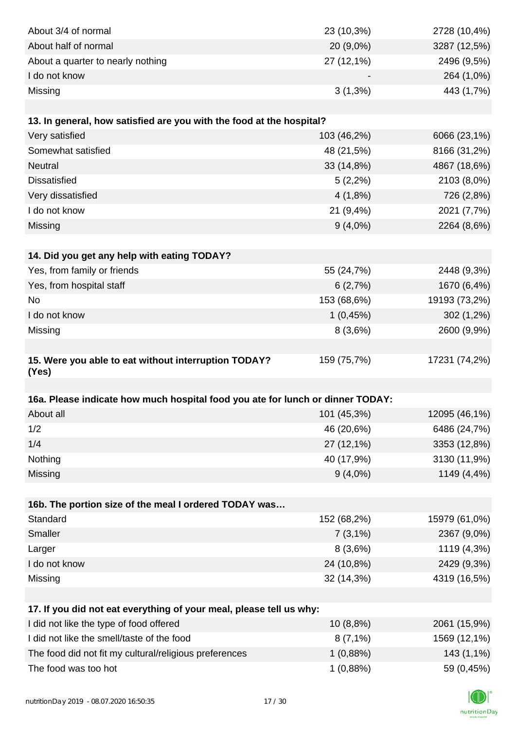| About 3/4 of normal                                                            | 23 (10,3%)            | 2728 (10,4%)               |
|--------------------------------------------------------------------------------|-----------------------|----------------------------|
| About half of normal                                                           | 20 (9,0%)             | 3287 (12,5%)               |
| About a quarter to nearly nothing                                              | 27 (12,1%)            | 2496 (9,5%)                |
| I do not know                                                                  |                       | 264 (1,0%)                 |
| Missing                                                                        | $3(1,3\%)$            | 443 (1,7%)                 |
|                                                                                |                       |                            |
| 13. In general, how satisfied are you with the food at the hospital?           |                       |                            |
| Very satisfied                                                                 | 103 (46,2%)           | 6066 (23,1%)               |
| Somewhat satisfied                                                             | 48 (21,5%)            | 8166 (31,2%)               |
| <b>Neutral</b>                                                                 | 33 (14,8%)            | 4867 (18,6%)               |
| <b>Dissatisfied</b>                                                            | $5(2,2\%)$            | 2103 (8,0%)                |
| Very dissatisfied                                                              | 4(1,8%)               | 726 (2,8%)                 |
| I do not know                                                                  | 21 (9,4%)             | 2021 (7,7%)                |
| Missing                                                                        | $9(4,0\%)$            | 2264 (8,6%)                |
|                                                                                |                       |                            |
| 14. Did you get any help with eating TODAY?                                    |                       |                            |
| Yes, from family or friends                                                    | 55 (24,7%)            | 2448 (9,3%)                |
| Yes, from hospital staff                                                       | 6(2,7%)               | 1670 (6,4%)                |
| <b>No</b>                                                                      | 153 (68,6%)           | 19193 (73,2%)              |
| I do not know                                                                  | 1(0,45%)              | $302(1,2\%)$               |
| Missing                                                                        | 8(3,6%)               | 2600 (9,9%)                |
|                                                                                |                       |                            |
| 15. Were you able to eat without interruption TODAY?                           | 159 (75,7%)           | 17231 (74,2%)              |
| (Yes)                                                                          |                       |                            |
|                                                                                |                       |                            |
| 16a. Please indicate how much hospital food you ate for lunch or dinner TODAY: |                       |                            |
| About all                                                                      | 101 (45,3%)           | 12095 (46,1%)              |
| 1/2                                                                            | 46 (20,6%)            | 6486 (24,7%)               |
| 1/4                                                                            | 27 (12,1%)            | 3353 (12,8%)               |
| Nothing                                                                        | 40 (17,9%)            | 3130 (11,9%)               |
| Missing                                                                        | $9(4,0\%)$            | 1149 (4,4%)                |
|                                                                                |                       |                            |
| 16b. The portion size of the meal I ordered TODAY was<br>Standard              |                       |                            |
| Smaller                                                                        | 152 (68,2%)           | 15979 (61,0%)              |
| Larger                                                                         | $7(3,1\%)$<br>8(3,6%) | 2367 (9,0%)                |
| I do not know                                                                  | 24 (10,8%)            | 1119 (4,3%)<br>2429 (9,3%) |
| Missing                                                                        | 32 (14,3%)            | 4319 (16,5%)               |
|                                                                                |                       |                            |
| 17. If you did not eat everything of your meal, please tell us why:            |                       |                            |
| I did not like the type of food offered                                        | 10 (8,8%)             | 2061 (15,9%)               |
| I did not like the smell/taste of the food                                     | $8(7,1\%)$            | 1569 (12,1%)               |
| The food did not fit my cultural/religious preferences                         | 1(0,88%)              | 143 (1,1%)                 |
| The food was too hot                                                           | 1(0,88%)              | 59 (0,45%)                 |
|                                                                                |                       |                            |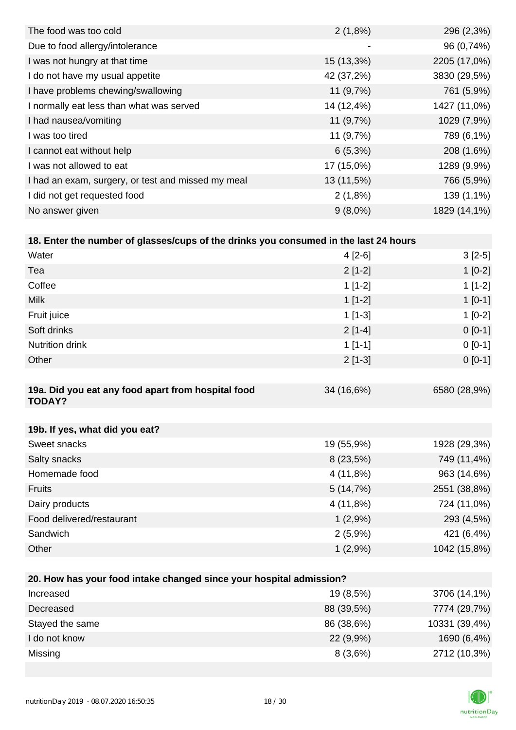| The food was too cold                              | $2(1,8\%)$               | 296 (2,3%)   |
|----------------------------------------------------|--------------------------|--------------|
| Due to food allergy/intolerance                    | $\overline{\phantom{0}}$ | 96 (0,74%)   |
| I was not hungry at that time                      | 15 (13,3%)               | 2205 (17,0%) |
| I do not have my usual appetite                    | 42 (37,2%)               | 3830 (29,5%) |
| I have problems chewing/swallowing                 | 11 $(9,7%)$              | 761 (5,9%)   |
| I normally eat less than what was served           | 14 (12,4%)               | 1427 (11,0%) |
| I had nausea/vomiting                              | 11(9,7%)                 | 1029 (7,9%)  |
| I was too tired                                    | 11 (9,7%)                | 789 (6,1%)   |
| I cannot eat without help                          | $6(5,3\%)$               | 208 (1,6%)   |
| I was not allowed to eat                           | 17 (15,0%)               | 1289 (9,9%)  |
| I had an exam, surgery, or test and missed my meal | 13 (11,5%)               | 766 (5,9%)   |
| I did not get requested food                       | $2(1,8\%)$               | 139 (1,1%)   |
| No answer given                                    | $9(8,0\%)$               | 1829 (14,1%) |

| 18. Enter the number of glasses/cups of the drinks you consumed in the last 24 hours |            |              |
|--------------------------------------------------------------------------------------|------------|--------------|
| Water                                                                                | $4[2-6]$   | $3[2-5]$     |
| Tea                                                                                  | $2[1-2]$   | $1[0-2]$     |
| Coffee                                                                               | $1[1-2]$   | $1[1-2]$     |
| <b>Milk</b>                                                                          | $1[1-2]$   | $1[0-1]$     |
| Fruit juice                                                                          | $1$ [1-3]  | $1[0-2]$     |
| Soft drinks                                                                          | $2[1-4]$   | $0[0-1]$     |
| <b>Nutrition drink</b>                                                               | $1[1-1]$   | $0[0-1]$     |
| Other                                                                                | $2[1-3]$   | $0[0-1]$     |
|                                                                                      |            |              |
| 19a. Did you eat any food apart from hospital food<br><b>TODAY?</b>                  | 34 (16,6%) | 6580 (28,9%) |

| 19b. If yes, what did you eat? |             |              |
|--------------------------------|-------------|--------------|
| Sweet snacks                   | 19 (55,9%)  | 1928 (29,3%) |
| Salty snacks                   | $8(23,5\%)$ | 749 (11,4%)  |
| Homemade food                  | 4 (11,8%)   | 963 (14,6%)  |
| <b>Fruits</b>                  | 5(14,7%)    | 2551 (38,8%) |
| Dairy products                 | 4 (11,8%)   | 724 (11,0%)  |
| Food delivered/restaurant      | $1(2,9\%)$  | 293 (4,5%)   |
| Sandwich                       | $2(5,9\%)$  | 421 (6,4%)   |
| Other                          | 1(2,9%)     | 1042 (15,8%) |

| 20. How has your food intake changed since your hospital admission? |             |               |  |
|---------------------------------------------------------------------|-------------|---------------|--|
| Increased                                                           | 19 (8,5%)   | 3706 (14,1%)  |  |
| Decreased                                                           | 88 (39,5%)  | 7774 (29,7%)  |  |
| Stayed the same                                                     | 86 (38,6%)  | 10331 (39,4%) |  |
| I do not know                                                       | $22(9,9\%)$ | 1690 (6,4%)   |  |
| Missing                                                             | 8(3,6%)     | 2712 (10,3%)  |  |

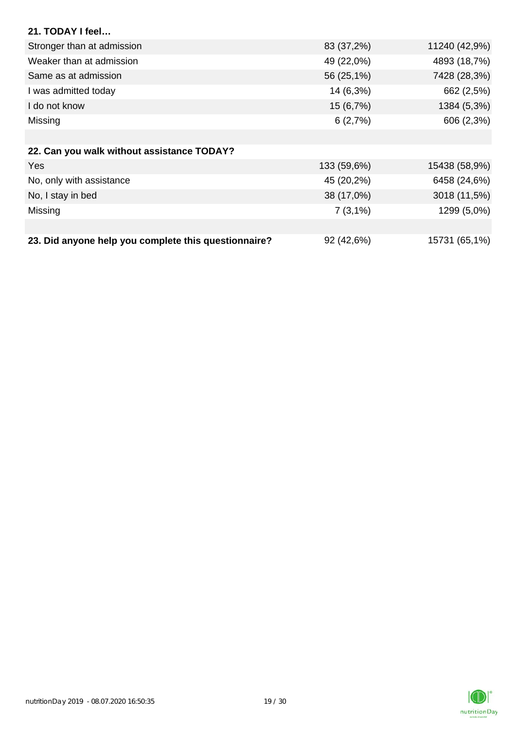| 21. TODAY I feel                                     |             |               |
|------------------------------------------------------|-------------|---------------|
| Stronger than at admission                           | 83 (37,2%)  | 11240 (42,9%) |
| Weaker than at admission                             | 49 (22,0%)  | 4893 (18,7%)  |
| Same as at admission                                 | 56 (25,1%)  | 7428 (28,3%)  |
| I was admitted today                                 | 14 (6,3%)   | 662 (2,5%)    |
| I do not know                                        | 15(6,7%)    | 1384 (5,3%)   |
| Missing                                              | 6(2,7%)     | 606 (2,3%)    |
|                                                      |             |               |
| 22. Can you walk without assistance TODAY?           |             |               |
| Yes                                                  | 133 (59,6%) | 15438 (58,9%) |
| No, only with assistance                             | 45 (20,2%)  | 6458 (24,6%)  |
| No, I stay in bed                                    | 38 (17,0%)  | 3018 (11,5%)  |
| Missing                                              | $7(3,1\%)$  | 1299 (5,0%)   |
|                                                      |             |               |
| 23. Did anyone help you complete this questionnaire? | 92 (42,6%)  | 15731 (65,1%) |

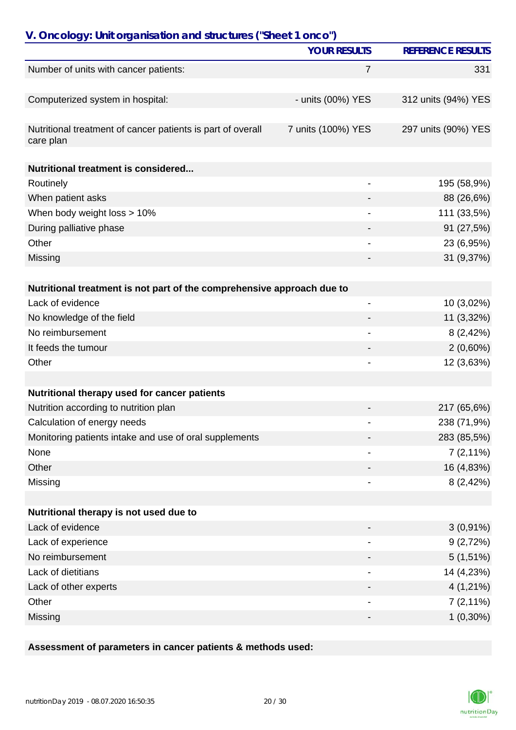| V. Oncology: Unit organisation and structures ("Sheet 1 onco")           |                          |                          |
|--------------------------------------------------------------------------|--------------------------|--------------------------|
|                                                                          | <b>YOUR RESULTS</b>      | <b>REFERENCE RESULTS</b> |
| Number of units with cancer patients:                                    | 7                        | 331                      |
|                                                                          |                          |                          |
| Computerized system in hospital:                                         | - units (00%) YES        | 312 units (94%) YES      |
|                                                                          |                          |                          |
| Nutritional treatment of cancer patients is part of overall<br>care plan | 7 units (100%) YES       | 297 units (90%) YES      |
| Nutritional treatment is considered                                      |                          |                          |
| Routinely                                                                |                          | 195 (58,9%)              |
| When patient asks                                                        |                          | 88 (26,6%)               |
| When body weight loss > 10%                                              |                          | 111 (33,5%)              |
| During palliative phase                                                  |                          | 91 (27,5%)               |
| Other                                                                    |                          | 23 (6,95%)               |
| Missing                                                                  |                          | 31 (9,37%)               |
|                                                                          |                          |                          |
| Nutritional treatment is not part of the comprehensive approach due to   |                          |                          |
| Lack of evidence                                                         | $\overline{\phantom{0}}$ | 10 (3,02%)               |
| No knowledge of the field                                                |                          | 11 (3,32%)               |
| No reimbursement                                                         |                          | 8(2,42%)                 |
| It feeds the tumour                                                      |                          | $2(0,60\%)$              |
| Other                                                                    |                          | 12 (3,63%)               |
|                                                                          |                          |                          |
| Nutritional therapy used for cancer patients                             |                          |                          |
| Nutrition according to nutrition plan                                    |                          | 217 (65,6%)              |
| Calculation of energy needs                                              |                          | 238 (71,9%)              |
| Monitoring patients intake and use of oral supplements                   |                          | 283 (85,5%)              |
| None                                                                     |                          | $7(2,11\%)$              |
| Other                                                                    |                          | 16 (4,83%)               |
| Missing                                                                  |                          | 8(2,42%)                 |
|                                                                          |                          |                          |
| Nutritional therapy is not used due to                                   |                          |                          |
| Lack of evidence                                                         |                          | $3(0,91\%)$              |
| Lack of experience                                                       |                          | 9(2,72%)                 |
| No reimbursement                                                         |                          | $5(1,51\%)$              |
| Lack of dietitians                                                       |                          | 14 (4,23%)               |
| Lack of other experts                                                    |                          | $4(1,21\%)$              |
| Other                                                                    |                          | $7(2,11\%)$              |
| Missing                                                                  |                          | $1(0,30\%)$              |

## **Assessment of parameters in cancer patients & methods used:**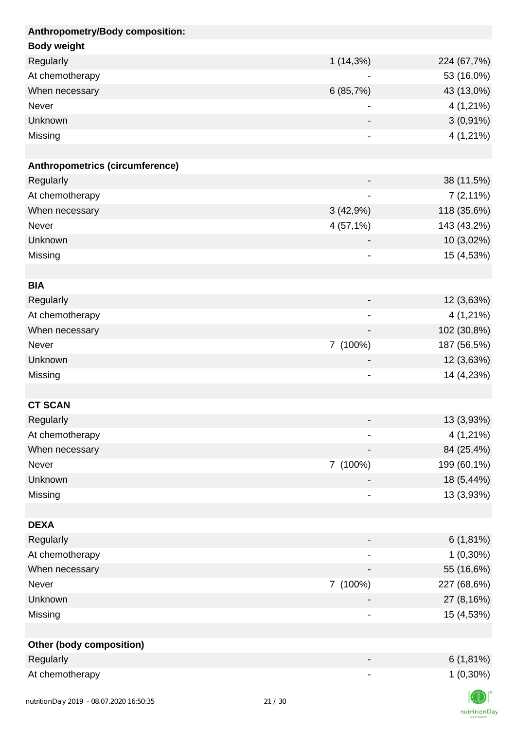| Anthropometry/Body composition: |                              |             |
|---------------------------------|------------------------------|-------------|
| <b>Body weight</b>              |                              |             |
| Regularly                       | $1(14,3\%)$                  | 224 (67,7%) |
| At chemotherapy                 |                              | 53 (16,0%)  |
| When necessary                  | 6(85,7%)                     | 43 (13,0%)  |
| Never                           |                              | 4 (1,21%)   |
| Unknown                         |                              | $3(0,91\%)$ |
| Missing                         | -                            | 4 (1,21%)   |
|                                 |                              |             |
| Anthropometrics (circumference) |                              |             |
| Regularly                       |                              | 38 (11,5%)  |
| At chemotherapy                 |                              | $7(2,11\%)$ |
| When necessary                  | 3(42,9%)                     | 118 (35,6%) |
| Never                           | 4 (57,1%)                    | 143 (43,2%) |
| Unknown                         |                              | 10 (3,02%)  |
| Missing                         | $\qquad \qquad \blacksquare$ | 15 (4,53%)  |
|                                 |                              |             |
| <b>BIA</b>                      |                              |             |
| Regularly                       |                              | 12 (3,63%)  |
| At chemotherapy                 |                              | 4 (1,21%)   |
| When necessary                  |                              | 102 (30,8%) |
| Never                           | 7 (100%)                     | 187 (56,5%) |
| Unknown                         |                              | 12 (3,63%)  |
| Missing                         | $\overline{\phantom{a}}$     | 14 (4,23%)  |
|                                 |                              |             |
| <b>CT SCAN</b>                  |                              |             |
| Regularly                       |                              | 13 (3,93%)  |
| At chemotherapy                 |                              | 4 (1,21%)   |
| When necessary                  |                              | 84 (25,4%)  |
| Never                           | 7 (100%)                     | 199 (60,1%) |
| Unknown                         |                              | 18 (5,44%)  |
| Missing                         | -                            | 13 (3,93%)  |
|                                 |                              |             |
| <b>DEXA</b>                     |                              |             |
| Regularly                       |                              | 6(1,81%)    |
| At chemotherapy                 |                              | $1(0,30\%)$ |
| When necessary                  |                              | 55 (16,6%)  |
| Never                           | 7 (100%)                     | 227 (68,6%) |
| Unknown                         |                              | 27 (8,16%)  |
| Missing                         | $\qquad \qquad \blacksquare$ | 15 (4,53%)  |
|                                 |                              |             |
| <b>Other (body composition)</b> |                              |             |
| Regularly                       |                              | $6(1,81\%)$ |
| At chemotherapy                 |                              | $1(0,30\%)$ |
|                                 |                              | $\sqrt{N}$  |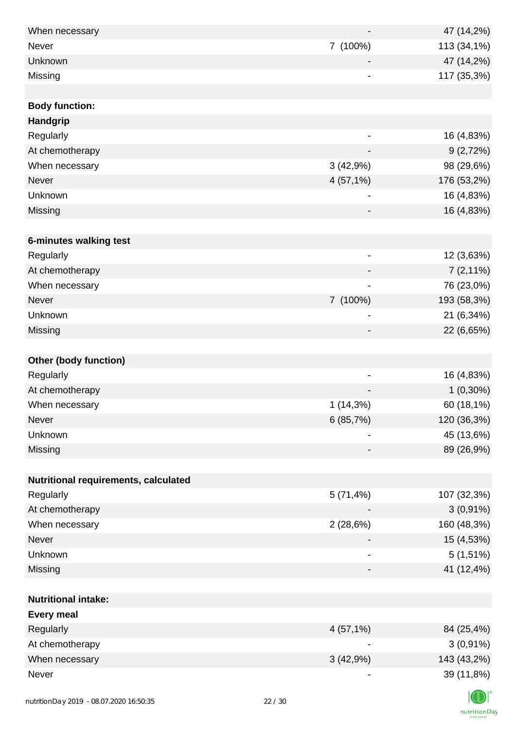| When necessary                          |       |                              | 47 (14,2%)  |
|-----------------------------------------|-------|------------------------------|-------------|
| <b>Never</b>                            |       | 7 (100%)                     | 113 (34,1%) |
| Unknown                                 |       |                              | 47 (14,2%)  |
| Missing                                 |       | $\overline{\phantom{a}}$     | 117 (35,3%) |
|                                         |       |                              |             |
| <b>Body function:</b>                   |       |                              |             |
| Handgrip                                |       |                              |             |
| Regularly                               |       | $\overline{\phantom{a}}$     | 16 (4,83%)  |
| At chemotherapy                         |       |                              | 9(2,72%)    |
| When necessary                          |       | 3(42,9%)                     | 98 (29,6%)  |
| Never                                   |       | 4(57,1%)                     | 176 (53,2%) |
| Unknown                                 |       | $\overline{\phantom{a}}$     | 16 (4,83%)  |
| Missing                                 |       |                              | 16 (4,83%)  |
|                                         |       |                              |             |
| 6-minutes walking test                  |       |                              |             |
| Regularly                               |       | $\overline{\phantom{a}}$     | 12 (3,63%)  |
| At chemotherapy                         |       |                              | $7(2,11\%)$ |
| When necessary                          |       |                              | 76 (23,0%)  |
| Never                                   |       | 7 (100%)                     | 193 (58,3%) |
| Unknown                                 |       | $\qquad \qquad \blacksquare$ | 21 (6,34%)  |
| Missing                                 |       | -                            | 22 (6,65%)  |
|                                         |       |                              |             |
| <b>Other (body function)</b>            |       |                              |             |
| Regularly                               |       | $\overline{\phantom{a}}$     | 16 (4,83%)  |
| At chemotherapy                         |       |                              | $1(0,30\%)$ |
| When necessary                          |       | $1(14,3\%)$                  | 60 (18,1%)  |
| Never                                   |       | 6(85,7%)                     | 120 (36,3%) |
| Unknown                                 |       | $\blacksquare$               | 45 (13,6%)  |
| Missing                                 |       | -                            | 89 (26,9%)  |
|                                         |       |                              |             |
| Nutritional requirements, calculated    |       |                              |             |
| Regularly                               |       | 5(71,4%)                     | 107 (32,3%) |
| At chemotherapy                         |       |                              | $3(0,91\%)$ |
| When necessary                          |       | 2(28,6%)                     | 160 (48,3%) |
| Never                                   |       |                              | 15 (4,53%)  |
| Unknown                                 |       | $\overline{\phantom{a}}$     | $5(1,51\%)$ |
| Missing                                 |       | -                            | 41 (12,4%)  |
|                                         |       |                              |             |
| <b>Nutritional intake:</b>              |       |                              |             |
| <b>Every meal</b>                       |       |                              |             |
| Regularly                               |       | 4(57,1%)                     | 84 (25,4%)  |
| At chemotherapy                         |       |                              | $3(0,91\%)$ |
| When necessary                          |       | 3(42,9%)                     | 143 (43,2%) |
| Never                                   |       | $\overline{\phantom{a}}$     | 39 (11,8%)  |
|                                         |       |                              |             |
| nutritionDay 2019 - 08.07.2020 16:50:35 | 22/30 |                              |             |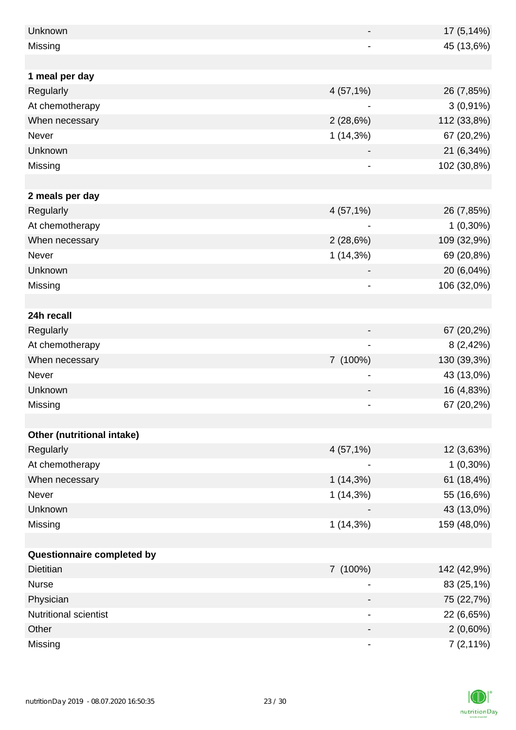| Unknown                    |             | 17 (5,14%)  |
|----------------------------|-------------|-------------|
| Missing                    |             | 45 (13,6%)  |
|                            |             |             |
| 1 meal per day             |             |             |
| Regularly                  | 4(57,1%)    | 26 (7,85%)  |
| At chemotherapy            |             | $3(0,91\%)$ |
| When necessary             | 2(28,6%)    | 112 (33,8%) |
| Never                      | 1(14,3%)    | 67 (20,2%)  |
| Unknown                    |             | 21 (6,34%)  |
| Missing                    |             | 102 (30,8%) |
|                            |             |             |
| 2 meals per day            |             |             |
| Regularly                  | 4(57,1%)    | 26 (7,85%)  |
| At chemotherapy            |             | $1(0,30\%)$ |
| When necessary             | 2(28,6%)    | 109 (32,9%) |
| Never                      | $1(14,3\%)$ | 69 (20,8%)  |
| Unknown                    |             | 20 (6,04%)  |
| Missing                    |             | 106 (32,0%) |
|                            |             |             |
| 24h recall                 |             |             |
| Regularly                  |             | 67 (20,2%)  |
| At chemotherapy            |             | 8(2,42%)    |
| When necessary             | 7 (100%)    | 130 (39,3%) |
| Never                      |             | 43 (13,0%)  |
| Unknown                    |             | 16 (4,83%)  |
| Missing                    |             | 67 (20,2%)  |
|                            |             |             |
| Other (nutritional intake) |             |             |
| Regularly                  | 4(57,1%)    | 12 (3,63%)  |
| At chemotherapy            |             | $1(0,30\%)$ |
| When necessary             | $1(14,3\%)$ | 61 (18,4%)  |
| Never                      | 1(14,3%)    | 55 (16,6%)  |
| Unknown                    |             | 43 (13,0%)  |
| Missing                    | 1(14,3%)    | 159 (48,0%) |
|                            |             |             |
| Questionnaire completed by |             |             |
| <b>Dietitian</b>           | 7 (100%)    | 142 (42,9%) |
| <b>Nurse</b>               |             | 83 (25,1%)  |
| Physician                  |             | 75 (22,7%)  |
| Nutritional scientist      |             | 22 (6,65%)  |
| Other                      |             | $2(0,60\%)$ |
| Missing                    |             | $7(2,11\%)$ |

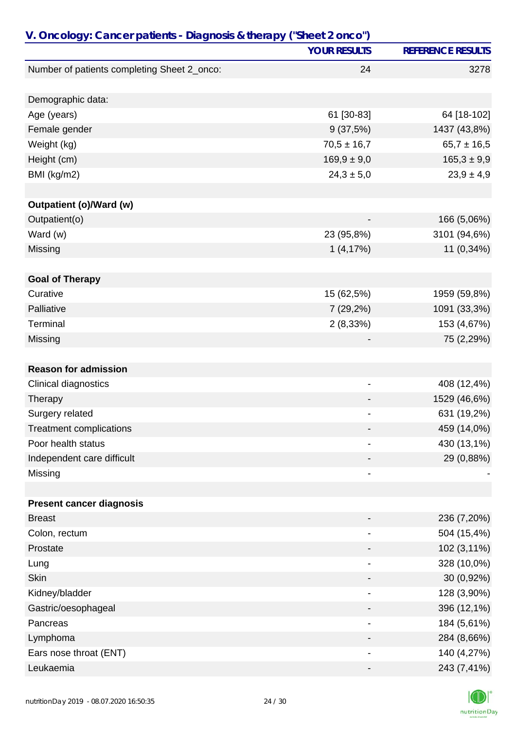| V. Oncology: Cancer patients - Diagnosis & therapy ("Sheet 2 onco") |                     |                          |
|---------------------------------------------------------------------|---------------------|--------------------------|
|                                                                     | <b>YOUR RESULTS</b> | <b>REFERENCE RESULTS</b> |
| Number of patients completing Sheet 2_onco:                         | 24                  | 3278                     |
|                                                                     |                     |                          |
| Demographic data:                                                   |                     |                          |
| Age (years)                                                         | 61 [30-83]          | 64 [18-102]              |
| Female gender                                                       | 9(37,5%)            | 1437 (43,8%)             |
| Weight (kg)                                                         | $70,5 \pm 16,7$     | $65,7 \pm 16,5$          |
| Height (cm)                                                         | $169,9 \pm 9,0$     | $165,3 \pm 9,9$          |
| BMI (kg/m2)                                                         | $24,3 \pm 5,0$      | $23,9 \pm 4,9$           |
|                                                                     |                     |                          |
| Outpatient (o)/Ward (w)                                             |                     |                          |
| Outpatient(o)                                                       |                     | 166 (5,06%)              |
| Ward (w)                                                            | 23 (95,8%)          | 3101 (94,6%)             |
| Missing                                                             | 1(4,17%)            | 11 (0,34%)               |
|                                                                     |                     |                          |
| <b>Goal of Therapy</b>                                              |                     |                          |
| Curative                                                            | 15 (62,5%)          | 1959 (59,8%)             |
| Palliative                                                          | 7 (29,2%)           | 1091 (33,3%)             |
| Terminal                                                            | 2(8,33%)            | 153 (4,67%)              |
| Missing                                                             |                     | 75 (2,29%)               |
|                                                                     |                     |                          |
| <b>Reason for admission</b>                                         |                     |                          |
| Clinical diagnostics                                                | -                   | 408 (12,4%)              |
| Therapy                                                             |                     | 1529 (46,6%)             |
| Surgery related                                                     |                     | 631 (19,2%)              |
| <b>Treatment complications</b>                                      |                     | 459 (14,0%)              |
| Poor health status                                                  | -                   | 430 (13,1%)              |
| Independent care difficult                                          |                     | 29 (0,88%)               |
| Missing                                                             |                     |                          |
|                                                                     |                     |                          |
| <b>Present cancer diagnosis</b>                                     |                     |                          |
| <b>Breast</b>                                                       |                     | 236 (7,20%)              |
| Colon, rectum                                                       |                     | 504 (15,4%)              |
| Prostate                                                            |                     | 102 (3,11%)              |
| Lung                                                                |                     | 328 (10,0%)              |
| <b>Skin</b>                                                         |                     | 30 (0,92%)               |
| Kidney/bladder                                                      |                     | 128 (3,90%)              |
| Gastric/oesophageal                                                 |                     | 396 (12,1%)              |
| Pancreas                                                            |                     | 184 (5,61%)              |
| Lymphoma                                                            |                     | 284 (8,66%)              |
| Ears nose throat (ENT)                                              |                     | 140 (4,27%)              |
| Leukaemia                                                           |                     | 243 (7,41%)              |

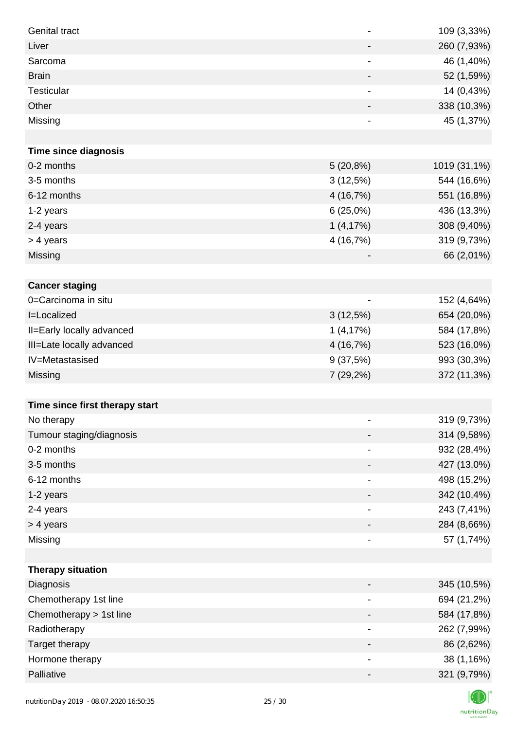| <b>Genital tract</b>           | $\overline{\phantom{a}}$     | 109 (3,33%)  |
|--------------------------------|------------------------------|--------------|
| Liver                          |                              | 260 (7,93%)  |
| Sarcoma                        |                              | 46 (1,40%)   |
| <b>Brain</b>                   | -                            | 52 (1,59%)   |
| <b>Testicular</b>              | -                            | 14 (0,43%)   |
| Other                          |                              | 338 (10,3%)  |
| Missing                        | $\qquad \qquad \blacksquare$ | 45 (1,37%)   |
|                                |                              |              |
| <b>Time since diagnosis</b>    |                              |              |
| 0-2 months                     | $5(20,8\%)$                  | 1019 (31,1%) |
| 3-5 months                     | 3(12,5%)                     | 544 (16,6%)  |
| 6-12 months                    | 4 (16,7%)                    | 551 (16,8%)  |
| 1-2 years                      | 6(25,0%)                     | 436 (13,3%)  |
| 2-4 years                      | 1(4,17%)                     | 308 (9,40%)  |
| > 4 years                      | 4 (16,7%)                    | 319 (9,73%)  |
| Missing                        |                              | 66 (2,01%)   |
|                                |                              |              |
| <b>Cancer staging</b>          |                              |              |
| 0=Carcinoma in situ            |                              | 152 (4,64%)  |
| I=Localized                    | 3(12,5%)                     | 654 (20,0%)  |
| II=Early locally advanced      | 1(4,17%)                     | 584 (17,8%)  |
| III=Late locally advanced      | 4 (16,7%)                    | 523 (16,0%)  |
| IV=Metastasised                | 9(37,5%)                     | 993 (30,3%)  |
| Missing                        | 7 (29,2%)                    | 372 (11,3%)  |
|                                |                              |              |
| Time since first therapy start |                              |              |
| No therapy                     |                              | 319 (9,73%)  |
| Tumour staging/diagnosis       |                              | 314 (9,58%)  |
| 0-2 months                     |                              | 932 (28,4%)  |
| 3-5 months                     |                              | 427 (13,0%)  |
| 6-12 months                    | $\overline{a}$               | 498 (15,2%)  |
| 1-2 years                      |                              | 342 (10,4%)  |
| 2-4 years                      | $\qquad \qquad \blacksquare$ | 243 (7,41%)  |
| > 4 years                      |                              | 284 (8,66%)  |
| Missing                        |                              | 57 (1,74%)   |
|                                |                              |              |
| <b>Therapy situation</b>       |                              |              |
| Diagnosis                      |                              | 345 (10,5%)  |
| Chemotherapy 1st line          |                              | 694 (21,2%)  |
| Chemotherapy > 1st line        |                              | 584 (17,8%)  |
| Radiotherapy                   | -                            | 262 (7,99%)  |
| Target therapy                 |                              | 86 (2,62%)   |
| Hormone therapy                |                              | 38 (1,16%)   |
| Palliative                     |                              | 321 (9,79%)  |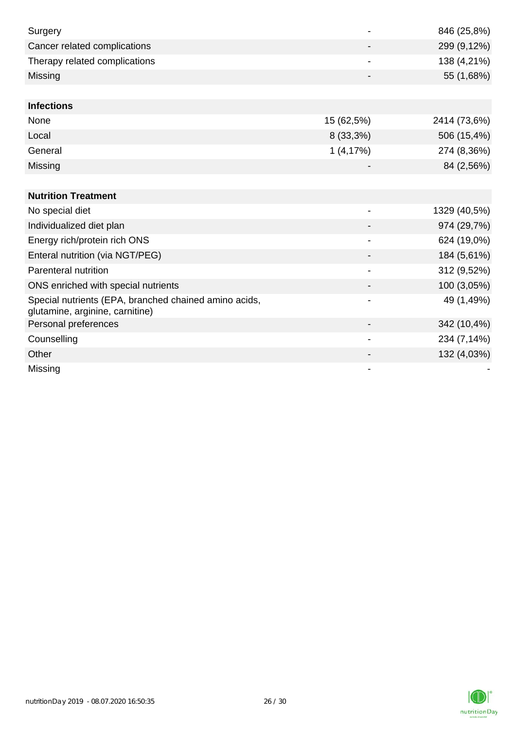| Surgery                                                                                  |                          | 846 (25,8%)  |
|------------------------------------------------------------------------------------------|--------------------------|--------------|
| Cancer related complications                                                             |                          | 299 (9,12%)  |
| Therapy related complications                                                            |                          | 138 (4,21%)  |
| Missing                                                                                  |                          | 55 (1,68%)   |
|                                                                                          |                          |              |
| <b>Infections</b>                                                                        |                          |              |
| None                                                                                     | 15 (62,5%)               | 2414 (73,6%) |
| Local                                                                                    | $8(33,3\%)$              | 506 (15,4%)  |
| General                                                                                  | 1(4,17%)                 | 274 (8,36%)  |
| Missing                                                                                  |                          | 84 (2,56%)   |
|                                                                                          |                          |              |
| <b>Nutrition Treatment</b>                                                               |                          |              |
| No special diet                                                                          |                          | 1329 (40,5%) |
| Individualized diet plan                                                                 |                          | 974 (29,7%)  |
| Energy rich/protein rich ONS                                                             | $\blacksquare$           | 624 (19,0%)  |
| Enteral nutrition (via NGT/PEG)                                                          |                          | 184 (5,61%)  |
| Parenteral nutrition                                                                     |                          | 312 (9,52%)  |
| ONS enriched with special nutrients                                                      |                          | 100 (3,05%)  |
| Special nutrients (EPA, branched chained amino acids,<br>glutamine, arginine, carnitine) |                          | 49 (1,49%)   |
| Personal preferences                                                                     |                          | 342 (10,4%)  |
| Counselling                                                                              | $\overline{\phantom{a}}$ | 234 (7,14%)  |
| Other                                                                                    |                          | 132 (4,03%)  |
| Missing                                                                                  |                          |              |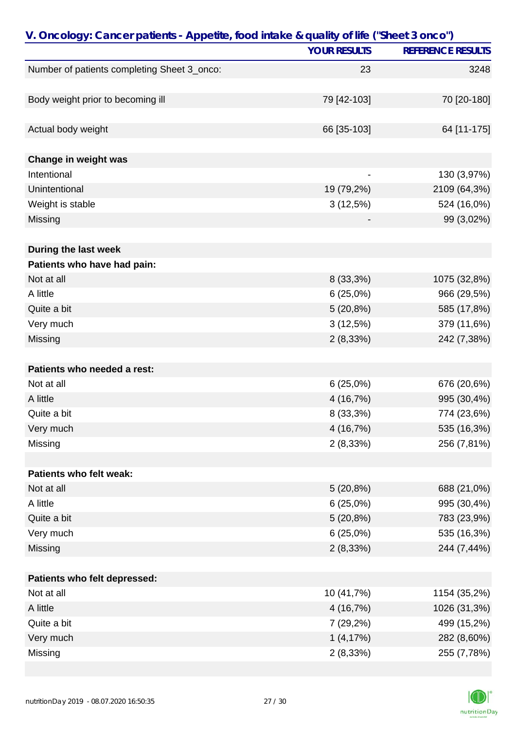| V. Oncology: Cancer patients - Appetite, food intake & quality of life ("Sheet 3 onco") |                     |                          |
|-----------------------------------------------------------------------------------------|---------------------|--------------------------|
|                                                                                         | <b>YOUR RESULTS</b> | <b>REFERENCE RESULTS</b> |
| Number of patients completing Sheet 3_onco:                                             | 23                  | 3248                     |
|                                                                                         |                     |                          |
| Body weight prior to becoming ill                                                       | 79 [42-103]         | 70 [20-180]              |
|                                                                                         |                     |                          |
| Actual body weight                                                                      | 66 [35-103]         | 64 [11-175]              |
| Change in weight was                                                                    |                     |                          |
| Intentional                                                                             |                     | 130 (3,97%)              |
| Unintentional                                                                           | 19 (79,2%)          | 2109 (64,3%)             |
| Weight is stable                                                                        | 3(12,5%)            | 524 (16,0%)              |
| Missing                                                                                 |                     | 99 (3,02%)               |
|                                                                                         |                     |                          |
| During the last week                                                                    |                     |                          |
| Patients who have had pain:                                                             |                     |                          |
| Not at all                                                                              | 8 (33,3%)           | 1075 (32,8%)             |
| A little                                                                                | 6(25,0%)            | 966 (29,5%)              |
| Quite a bit                                                                             | $5(20,8\%)$         | 585 (17,8%)              |
| Very much                                                                               | 3(12,5%)            | 379 (11,6%)              |
| Missing                                                                                 | 2(8,33%)            | 242 (7,38%)              |
|                                                                                         |                     |                          |
| Patients who needed a rest:                                                             |                     |                          |
| Not at all                                                                              | 6(25,0%)            | 676 (20,6%)              |
| A little                                                                                | 4 (16,7%)           | 995 (30,4%)              |
| Quite a bit                                                                             | 8 (33,3%)           | 774 (23,6%)              |
| Very much                                                                               | 4 (16,7%)           | 535 (16,3%)              |
| Missing                                                                                 | 2(8,33%)            | 256 (7,81%)              |
|                                                                                         |                     |                          |
| Patients who felt weak:                                                                 |                     |                          |
| Not at all                                                                              | $5(20,8\%)$         | 688 (21,0%)              |
| A little                                                                                | 6(25,0%)            | 995 (30,4%)              |
| Quite a bit                                                                             | 5(20,8%)            | 783 (23,9%)              |
| Very much                                                                               | 6(25,0%)            | 535 (16,3%)              |
| Missing                                                                                 | 2(8,33%)            | 244 (7,44%)              |
| Patients who felt depressed:                                                            |                     |                          |
| Not at all                                                                              | 10 (41,7%)          |                          |
| A little                                                                                |                     | 1154 (35,2%)             |
|                                                                                         | 4 (16,7%)           | 1026 (31,3%)             |
| Quite a bit                                                                             | 7 (29,2%)           | 499 (15,2%)              |
| Very much                                                                               | 1(4,17%)            | 282 (8,60%)              |
| Missing                                                                                 | 2(8,33%)            | 255 (7,78%)              |

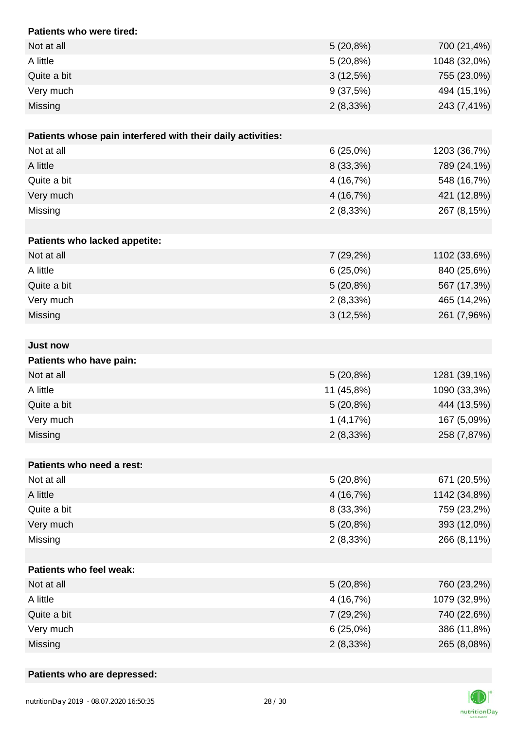| Patients who were tired:                                    |             |              |
|-------------------------------------------------------------|-------------|--------------|
| Not at all                                                  | 5(20,8%)    | 700 (21,4%)  |
| A little                                                    | 5(20,8%)    | 1048 (32,0%) |
| Quite a bit                                                 | 3(12,5%)    | 755 (23,0%)  |
| Very much                                                   | 9(37,5%)    | 494 (15,1%)  |
| Missing                                                     | 2(8,33%)    | 243 (7,41%)  |
|                                                             |             |              |
| Patients whose pain interfered with their daily activities: |             |              |
| Not at all                                                  | 6(25,0%)    | 1203 (36,7%) |
| A little                                                    | 8 (33,3%)   | 789 (24,1%)  |
| Quite a bit                                                 | 4 (16,7%)   | 548 (16,7%)  |
| Very much                                                   | 4 (16,7%)   | 421 (12,8%)  |
| Missing                                                     | 2(8,33%)    | 267 (8,15%)  |
|                                                             |             |              |
| Patients who lacked appetite:                               |             |              |
| Not at all                                                  | 7 (29,2%)   | 1102 (33,6%) |
| A little                                                    | 6(25,0%)    | 840 (25,6%)  |
| Quite a bit                                                 | 5(20,8%)    | 567 (17,3%)  |
| Very much                                                   | 2(8,33%)    | 465 (14,2%)  |
| Missing                                                     | $3(12,5\%)$ | 261 (7,96%)  |
|                                                             |             |              |
| <b>Just now</b>                                             |             |              |
| Patients who have pain:                                     |             |              |
| Not at all                                                  | 5(20,8%)    | 1281 (39,1%) |
| A little                                                    | 11 (45,8%)  | 1090 (33,3%) |
| Quite a bit                                                 | 5(20,8%)    | 444 (13,5%)  |
| Very much                                                   | 1(4,17%)    | 167 (5,09%)  |
| Missing                                                     | 2(8,33%)    | 258 (7,87%)  |
|                                                             |             |              |
| Patients who need a rest:                                   |             |              |
| Not at all                                                  | 5(20,8%)    | 671 (20,5%)  |
| A little                                                    | 4 (16,7%)   | 1142 (34,8%) |
| Quite a bit                                                 | 8 (33,3%)   | 759 (23,2%)  |
| Very much                                                   | 5(20,8%)    | 393 (12,0%)  |
| Missing                                                     | 2(8,33%)    | 266 (8,11%)  |
|                                                             |             |              |
| Patients who feel weak:                                     |             |              |
| Not at all                                                  | 5(20,8%)    | 760 (23,2%)  |
| A little                                                    | 4 (16,7%)   | 1079 (32,9%) |
| Quite a bit                                                 | 7(29,2%)    | 740 (22,6%)  |
| Very much                                                   | 6(25,0%)    | 386 (11,8%)  |
| Missing                                                     | 2(8,33%)    | 265 (8,08%)  |

### **Patients who are depressed:**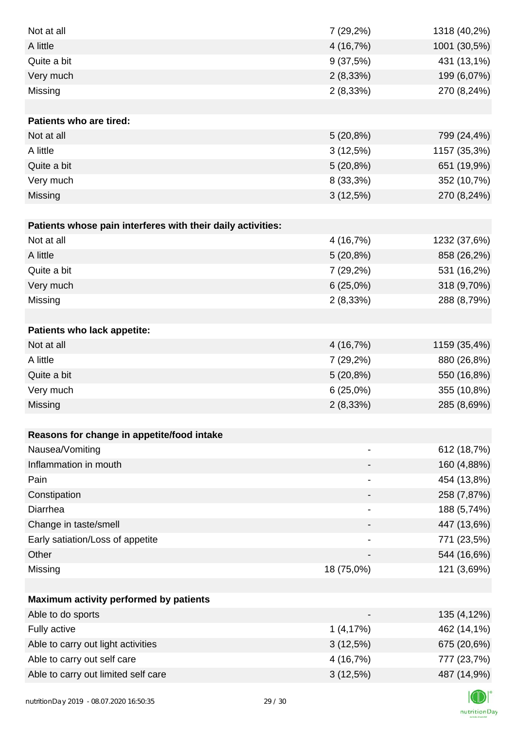| Not at all                                                  | 7 (29,2%)                    | 1318 (40,2%) |
|-------------------------------------------------------------|------------------------------|--------------|
| A little                                                    | 4 (16,7%)                    | 1001 (30,5%) |
| Quite a bit                                                 | 9(37,5%)                     | 431 (13,1%)  |
| Very much                                                   | 2(8,33%)                     | 199 (6,07%)  |
| Missing                                                     | 2(8,33%)                     | 270 (8,24%)  |
|                                                             |                              |              |
| Patients who are tired:                                     |                              |              |
| Not at all                                                  | 5(20,8%)                     | 799 (24,4%)  |
| A little                                                    | 3(12,5%)                     | 1157 (35,3%) |
| Quite a bit                                                 | 5(20,8%)                     | 651 (19,9%)  |
| Very much                                                   | 8 (33,3%)                    | 352 (10,7%)  |
| Missing                                                     | 3(12,5%)                     | 270 (8,24%)  |
|                                                             |                              |              |
| Patients whose pain interferes with their daily activities: |                              |              |
| Not at all                                                  | 4 (16,7%)                    | 1232 (37,6%) |
| A little                                                    | $5(20,8\%)$                  | 858 (26,2%)  |
| Quite a bit                                                 | 7 (29,2%)                    | 531 (16,2%)  |
| Very much                                                   | 6(25,0%)                     | 318 (9,70%)  |
| Missing                                                     | 2(8,33%)                     | 288 (8,79%)  |
|                                                             |                              |              |
| Patients who lack appetite:                                 |                              |              |
| Not at all                                                  | 4 (16,7%)                    | 1159 (35,4%) |
| A little                                                    | 7 (29,2%)                    | 880 (26,8%)  |
| Quite a bit                                                 | $5(20,8\%)$                  | 550 (16,8%)  |
| Very much                                                   | 6(25,0%)                     | 355 (10,8%)  |
| Missing                                                     | 2(8,33%)                     | 285 (8,69%)  |
|                                                             |                              |              |
| Reasons for change in appetite/food intake                  |                              |              |
| Nausea/Vomiting                                             |                              | 612 (18,7%)  |
| Inflammation in mouth                                       |                              | 160 (4,88%)  |
| Pain                                                        |                              | 454 (13,8%)  |
| Constipation                                                |                              | 258 (7,87%)  |
| Diarrhea                                                    | $\qquad \qquad \blacksquare$ | 188 (5,74%)  |
| Change in taste/smell                                       |                              | 447 (13,6%)  |
| Early satiation/Loss of appetite                            |                              | 771 (23,5%)  |
| Other                                                       |                              | 544 (16,6%)  |
| Missing                                                     | 18 (75,0%)                   | 121 (3,69%)  |
|                                                             |                              |              |
| Maximum activity performed by patients                      |                              |              |
| Able to do sports                                           |                              | 135 (4,12%)  |
| Fully active                                                | 1(4,17%)                     | 462 (14,1%)  |
| Able to carry out light activities                          | 3(12,5%)                     | 675 (20,6%)  |
| Able to carry out self care                                 | 4 (16,7%)                    | 777 (23,7%)  |
| Able to carry out limited self care                         | 3(12,5%)                     | 487 (14,9%)  |
|                                                             |                              |              |